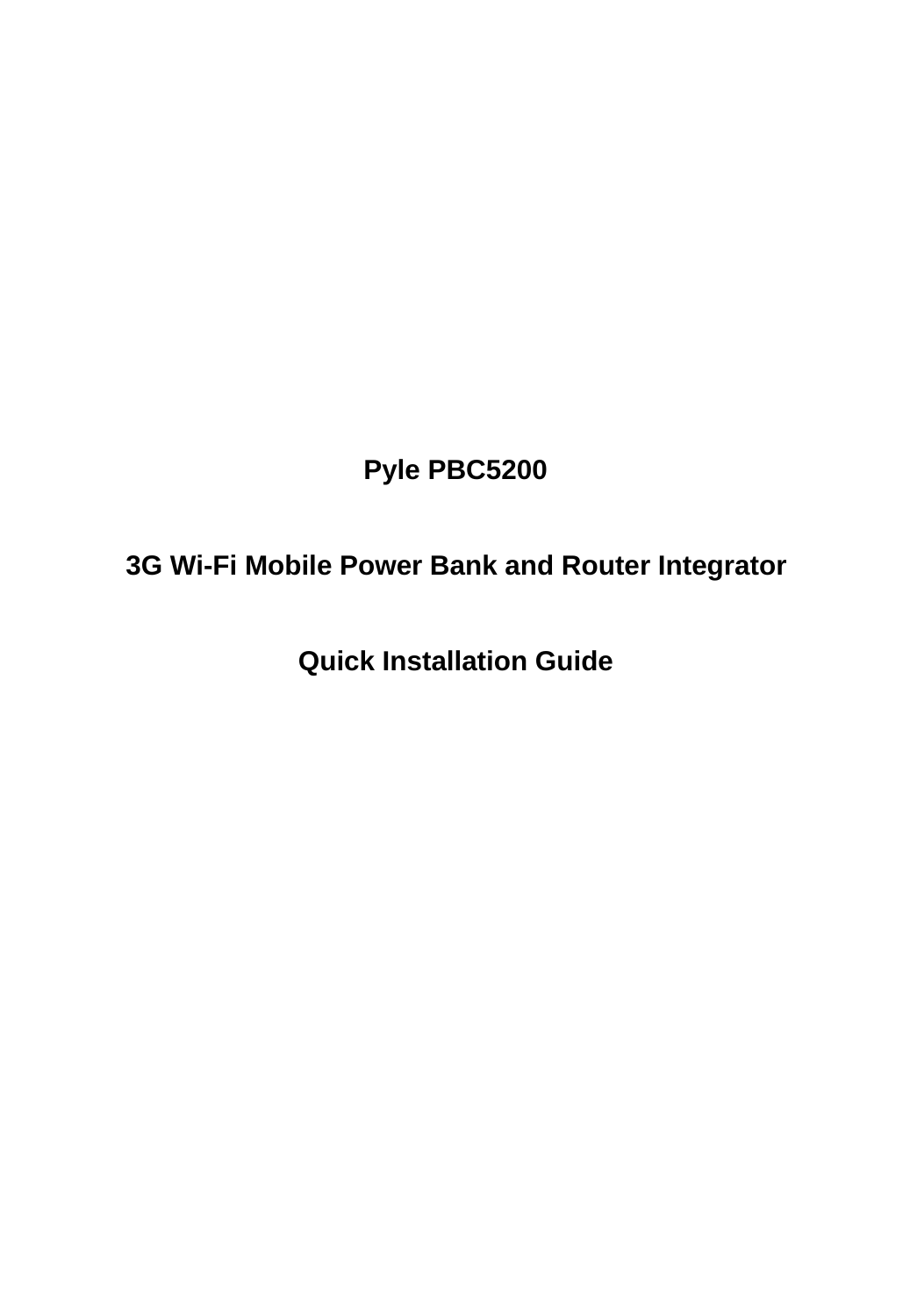# **Pyle PBC5200**

# **3G Wi-Fi Mobile Power Bank and Router Integrator**

**Quick Installation Guide**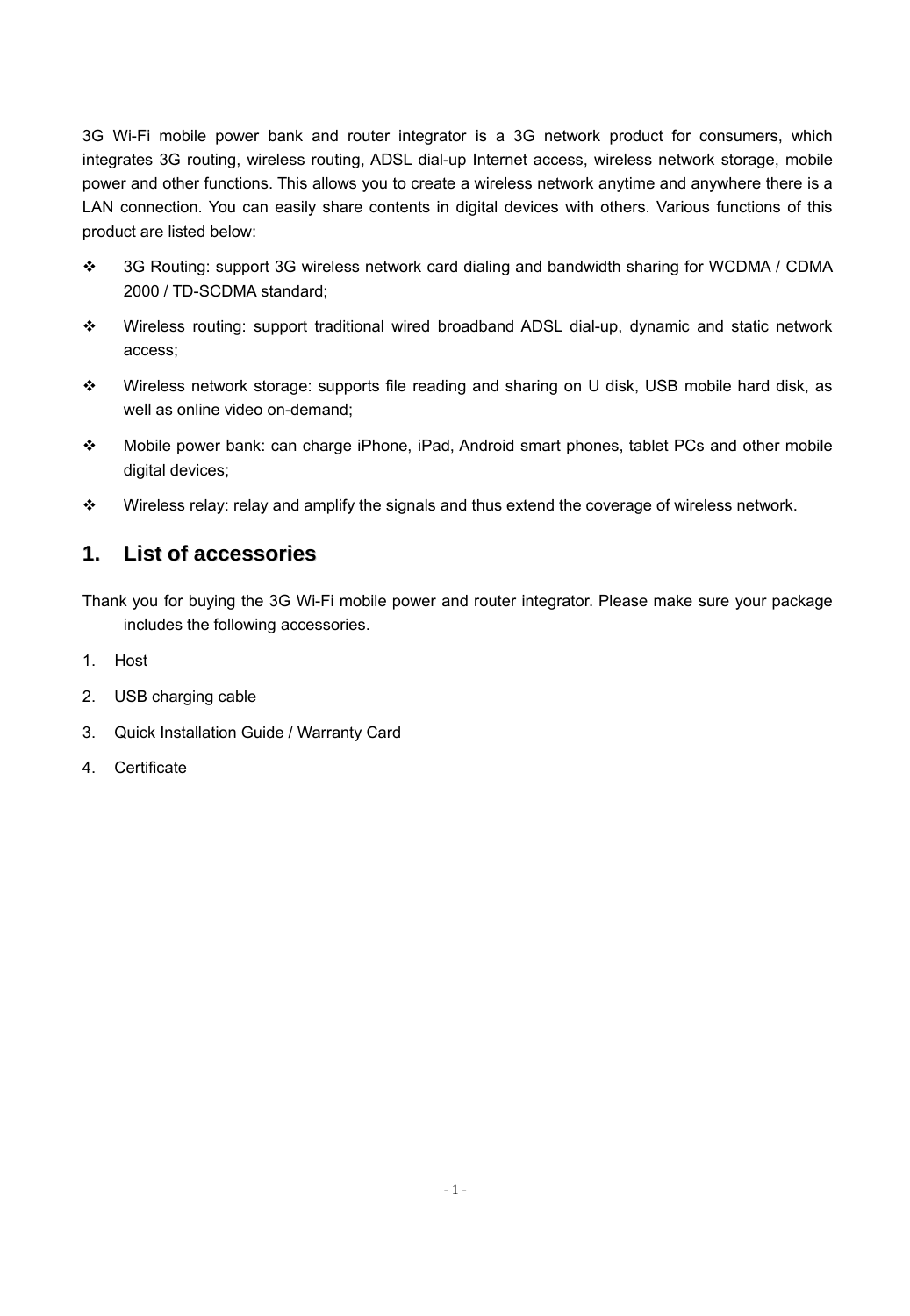3G Wi-Fi mobile power bank and router integrator is a 3G network product for consumers, which integrates 3G routing, wireless routing, ADSL dial-up Internet access, wireless network storage, mobile power and other functions. This allows you to create a wireless network anytime and anywhere there is a LAN connection. You can easily share contents in digital devices with others. Various functions of this product are listed below:

- 3G Routing: support 3G wireless network card dialing and bandwidth sharing for WCDMA / CDMA 2000 / TD-SCDMA standard;
- Wireless routing: support traditional wired broadband ADSL dial-up, dynamic and static network access;
- Wireless network storage: supports file reading and sharing on U disk, USB mobile hard disk, as well as online video on-demand;
- Mobile power bank: can charge iPhone, iPad, Android smart phones, tablet PCs and other mobile digital devices:
- Wireless relay: relay and amplify the signals and thus extend the coverage of wireless network.

#### **1. List of accessories**

Thank you for buying the 3G Wi-Fi mobile power and router integrator. Please make sure your package includes the following accessories.

- 1. Host
- 2. USB charging cable
- 3. Quick Installation Guide / Warranty Card
- 4. Certificate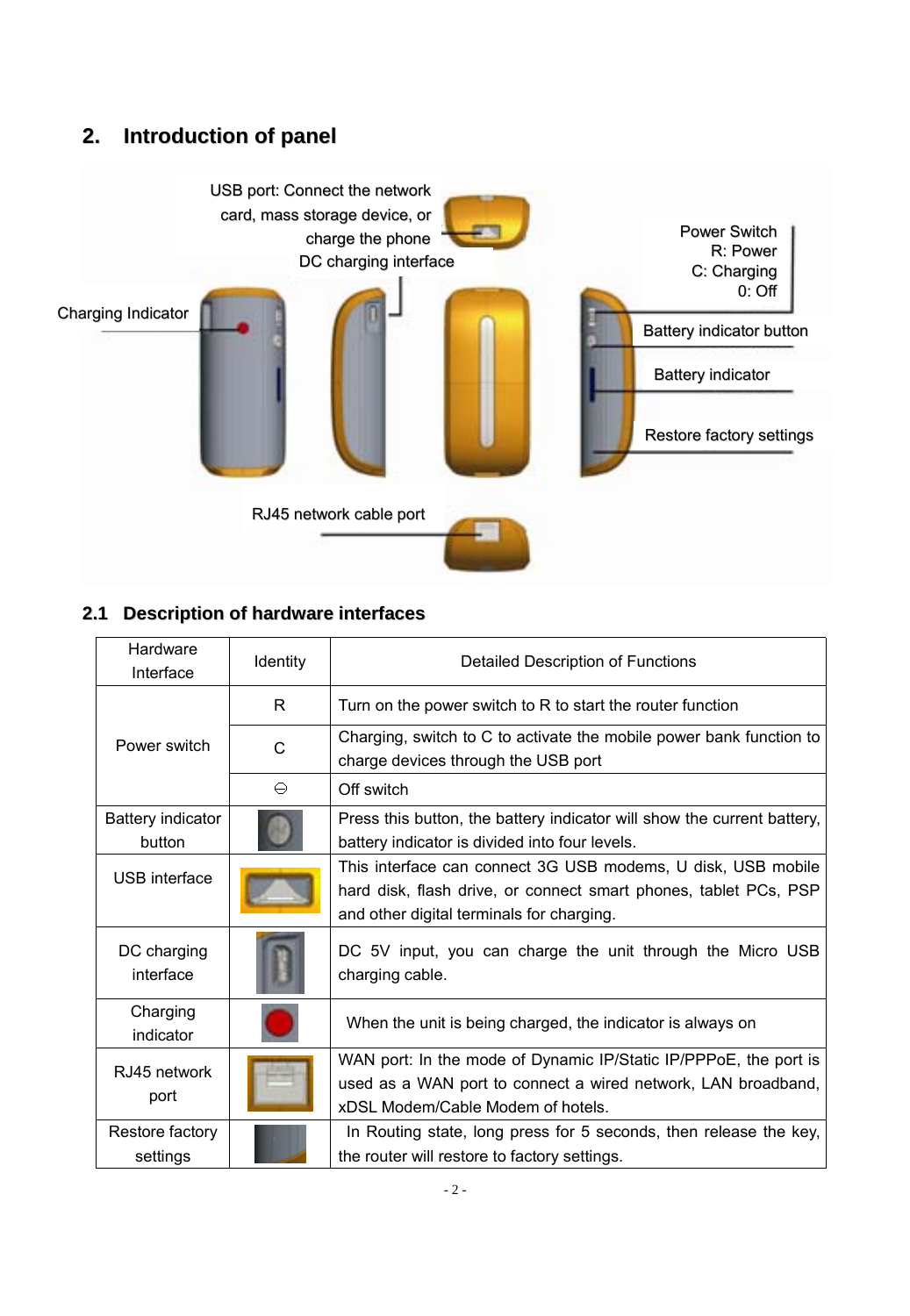## **2. Introduction of panel**



## **2.1 Description of hardware interfaces**

| Hardware<br>Interface       | Identity | Detailed Description of Functions                                                                                                                                             |
|-----------------------------|----------|-------------------------------------------------------------------------------------------------------------------------------------------------------------------------------|
|                             | R        | Turn on the power switch to R to start the router function                                                                                                                    |
| Power switch                | C        | Charging, switch to C to activate the mobile power bank function to<br>charge devices through the USB port                                                                    |
|                             | ⊖        | Off switch                                                                                                                                                                    |
| Battery indicator<br>button |          | Press this button, the battery indicator will show the current battery,<br>battery indicator is divided into four levels.                                                     |
| <b>USB</b> interface        |          | This interface can connect 3G USB modems, U disk, USB mobile<br>hard disk, flash drive, or connect smart phones, tablet PCs, PSP<br>and other digital terminals for charging. |
| DC charging<br>interface    |          | DC 5V input, you can charge the unit through the Micro USB<br>charging cable.                                                                                                 |
| Charging<br>indicator       |          | When the unit is being charged, the indicator is always on                                                                                                                    |
| R.I45 network<br>port       |          | WAN port: In the mode of Dynamic IP/Static IP/PPPoE, the port is<br>used as a WAN port to connect a wired network, LAN broadband,<br>xDSL Modem/Cable Modem of hotels.        |
| Restore factory<br>settings |          | In Routing state, long press for 5 seconds, then release the key,<br>the router will restore to factory settings.                                                             |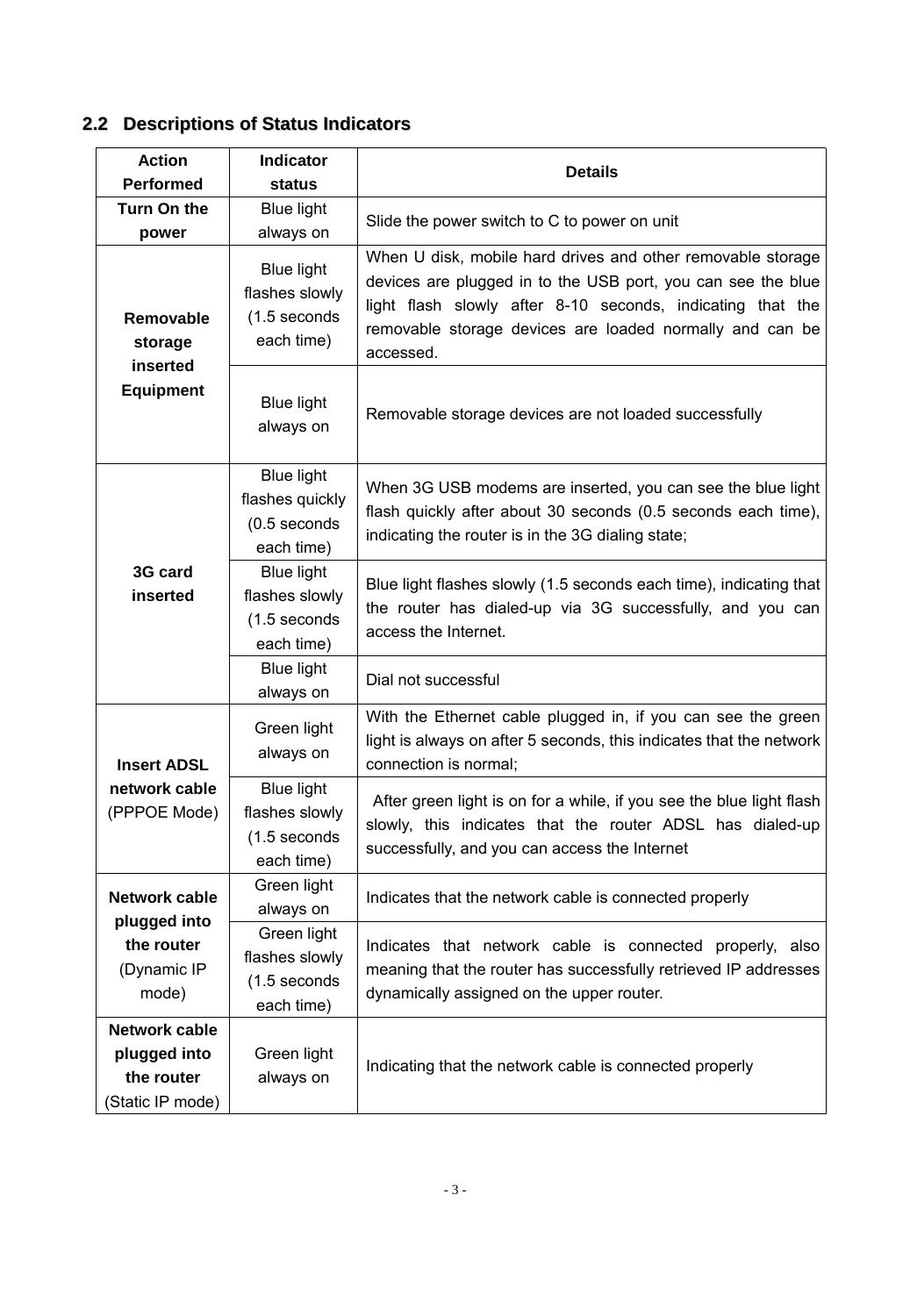## **2.2 Descriptions of Status Indicators**

| Action<br>Performed                                             | Indicator<br>status                                                 | <b>Details</b>                                                                                                                                                                                                                                                     |
|-----------------------------------------------------------------|---------------------------------------------------------------------|--------------------------------------------------------------------------------------------------------------------------------------------------------------------------------------------------------------------------------------------------------------------|
| Turn On the<br>power                                            | <b>Blue light</b><br>always on                                      | Slide the power switch to C to power on unit                                                                                                                                                                                                                       |
| Removable<br>storage<br>inserted                                | Blue light<br>flashes slowly<br>(1.5 seconds<br>each time)          | When U disk, mobile hard drives and other removable storage<br>devices are plugged in to the USB port, you can see the blue<br>light flash slowly after 8-10 seconds, indicating that the<br>removable storage devices are loaded normally and can be<br>accessed. |
| Equipment                                                       | <b>Blue light</b><br>always on                                      | Removable storage devices are not loaded successfully                                                                                                                                                                                                              |
|                                                                 | <b>Blue light</b><br>flashes quickly<br>(0.5 seconds<br>each time)  | When 3G USB modems are inserted, you can see the blue light<br>flash quickly after about 30 seconds (0.5 seconds each time),<br>indicating the router is in the 3G dialing state;                                                                                  |
| 3G card<br>inserted                                             | <b>Blue light</b><br>flashes slowly<br>$(1.5$ seconds<br>each time) | Blue light flashes slowly (1.5 seconds each time), indicating that<br>the router has dialed-up via 3G successfully, and you can<br>access the Internet.                                                                                                            |
|                                                                 | <b>Blue light</b><br>always on                                      | Dial not successful                                                                                                                                                                                                                                                |
| <b>Insert ADSL</b>                                              | Green light<br>always on                                            | With the Ethernet cable plugged in, if you can see the green<br>light is always on after 5 seconds, this indicates that the network<br>connection is normal:                                                                                                       |
| network cable<br>(PPPOE Mode)                                   | Blue light<br>flashes slowly<br>(1.5 seconds<br>each time)          | After green light is on for a while, if you see the blue light flash<br>slowly, this indicates that the router ADSL has dialed-up<br>successfully, and you can access the Internet                                                                                 |
| Network cable<br>plugged into                                   | Green light<br>always on                                            | Indicates that the network cable is connected properly                                                                                                                                                                                                             |
| the router<br>(Dynamic IP<br>mode)                              | Green light<br>flashes slowly<br>(1.5 seconds<br>each time)         | Indicates that network cable is connected properly, also<br>meaning that the router has successfully retrieved IP addresses<br>dynamically assigned on the upper router.                                                                                           |
| Network cable<br>plugged into<br>the router<br>(Static IP mode) | Green light<br>always on                                            | Indicating that the network cable is connected properly                                                                                                                                                                                                            |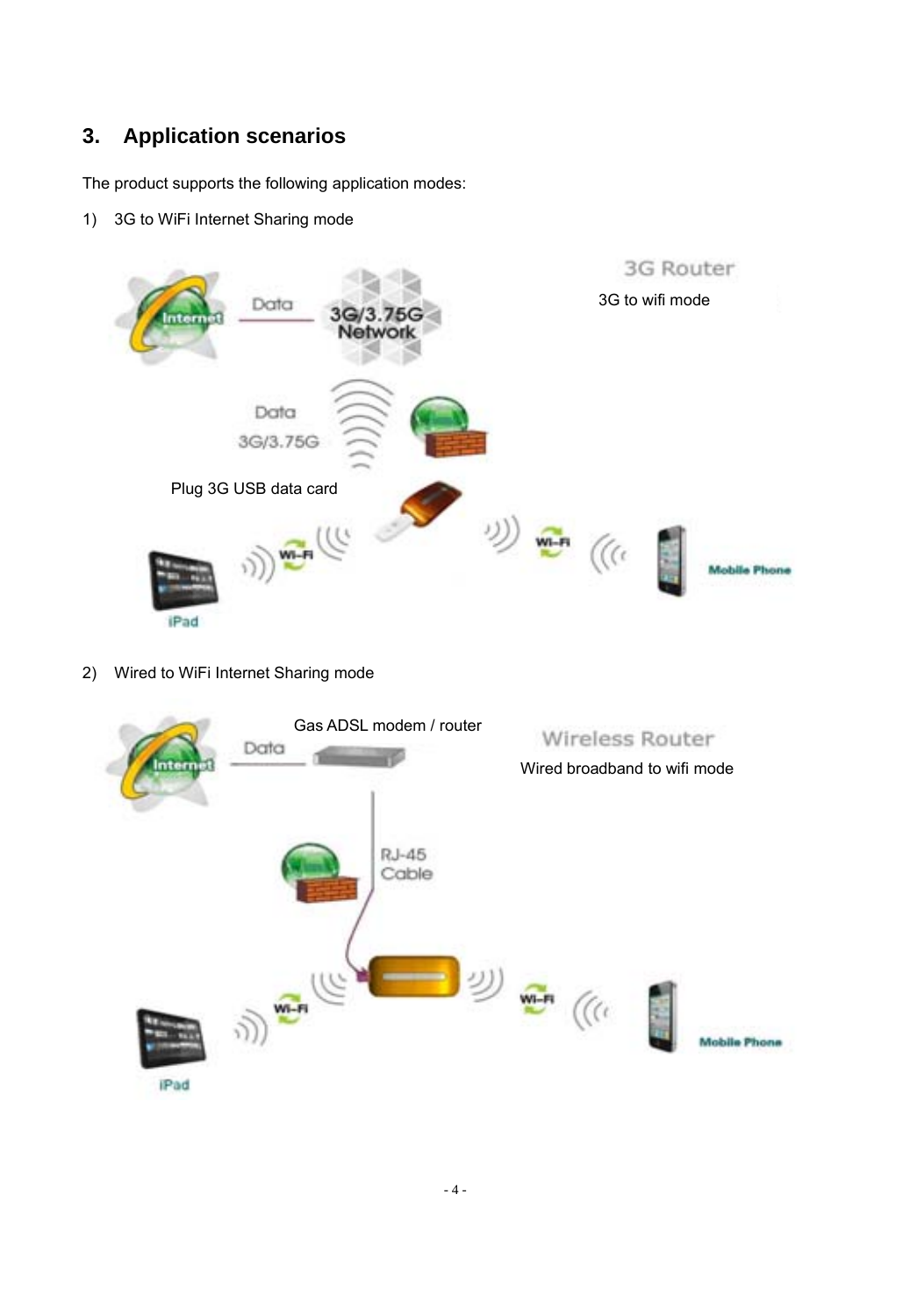## **3. Application scenarios**

The product supports the following application modes:

1) 3G to WiFi Internet Sharing mode



2) Wired to WiFi Internet Sharing mode

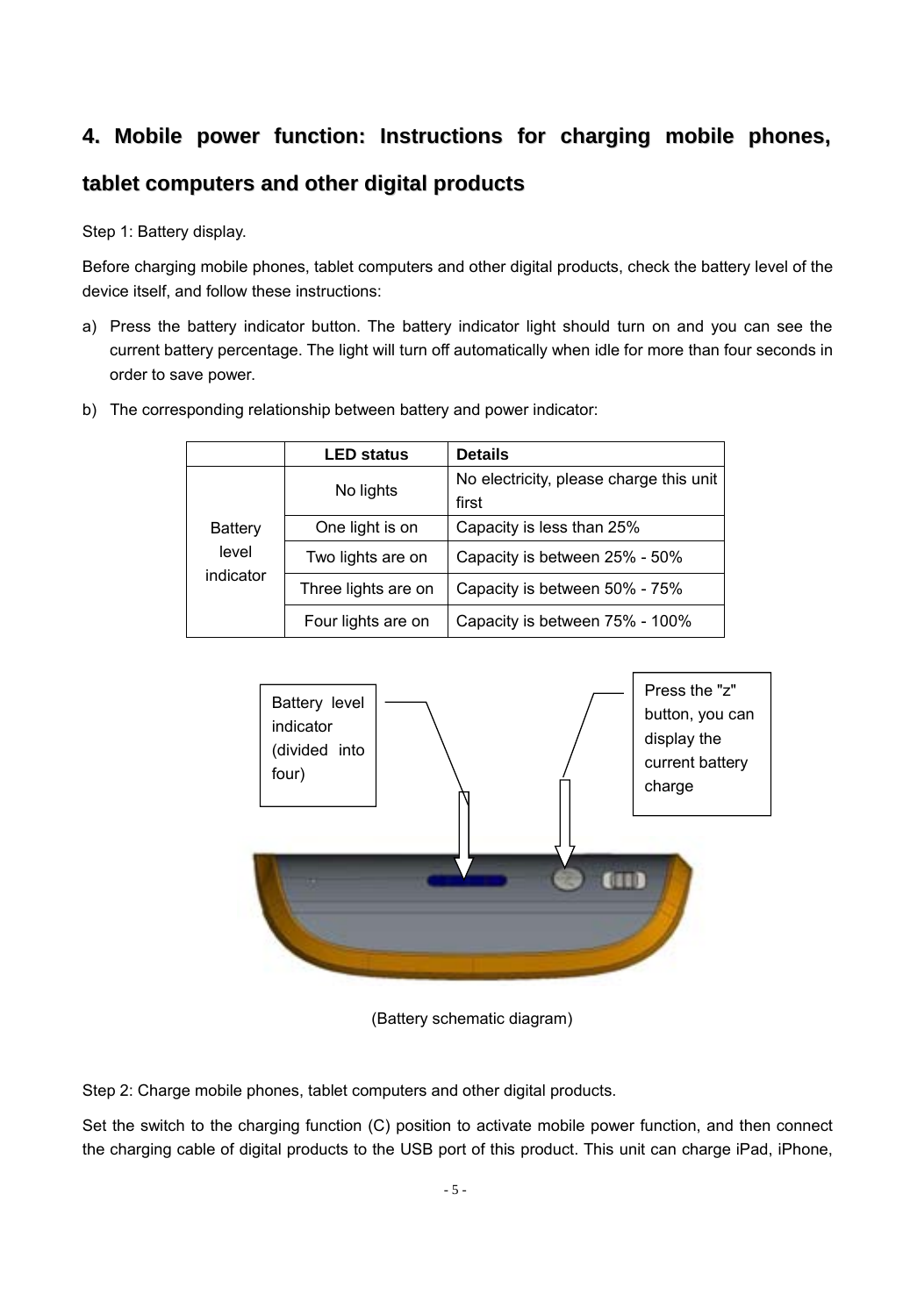## **4. Mobile power function: Instructions for charging mobile phones,**

### **tablet computers and other digital products**

Step 1: Battery display.

Before charging mobile phones, tablet computers and other digital products, check the battery level of the device itself, and follow these instructions:

a) Press the battery indicator button. The battery indicator light should turn on and you can see the current battery percentage. The light will turn off automatically when idle for more than four seconds in order to save power.

|                  | <b>LED status</b>   | <b>Details</b>                          |
|------------------|---------------------|-----------------------------------------|
|                  | No lights           | No electricity, please charge this unit |
|                  |                     | first                                   |
| Battery<br>level | One light is on     | Capacity is less than 25%               |
|                  | Two lights are on   | Capacity is between 25% - 50%           |
| indicator        | Three lights are on | Capacity is between 50% - 75%           |
|                  | Four lights are on  | Capacity is between 75% - 100%          |

b) The corresponding relationship between battery and power indicator:



(Battery schematic diagram)

Step 2: Charge mobile phones, tablet computers and other digital products.

Set the switch to the charging function (C) position to activate mobile power function, and then connect the charging cable of digital products to the USB port of this product. This unit can charge iPad, iPhone,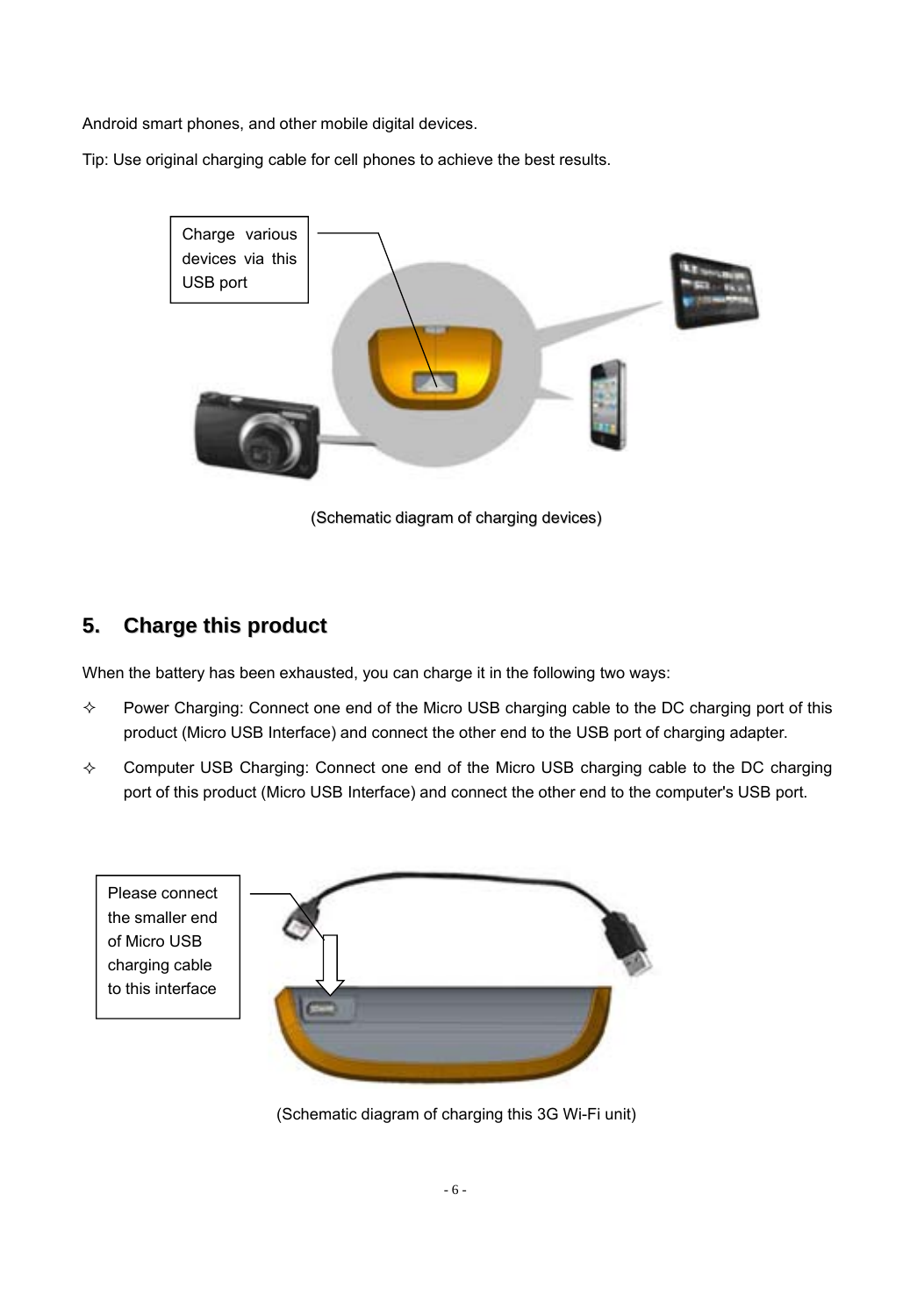Android smart phones, and other mobile digital devices.

Tip: Use original charging cable for cell phones to achieve the best results.



(Schematic diagram of charging devices)

## **5. Charge this product**

When the battery has been exhausted, you can charge it in the following two ways:

- Power Charging: Connect one end of the Micro USB charging cable to the DC charging port of this product (Micro USB Interface) and connect the other end to the USB port of charging adapter.
- Computer USB Charging: Connect one end of the Micro USB charging cable to the DC charging port of this product (Micro USB Interface) and connect the other end to the computer's USB port.



(Schematic diagram of charging this 3G Wi-Fi unit)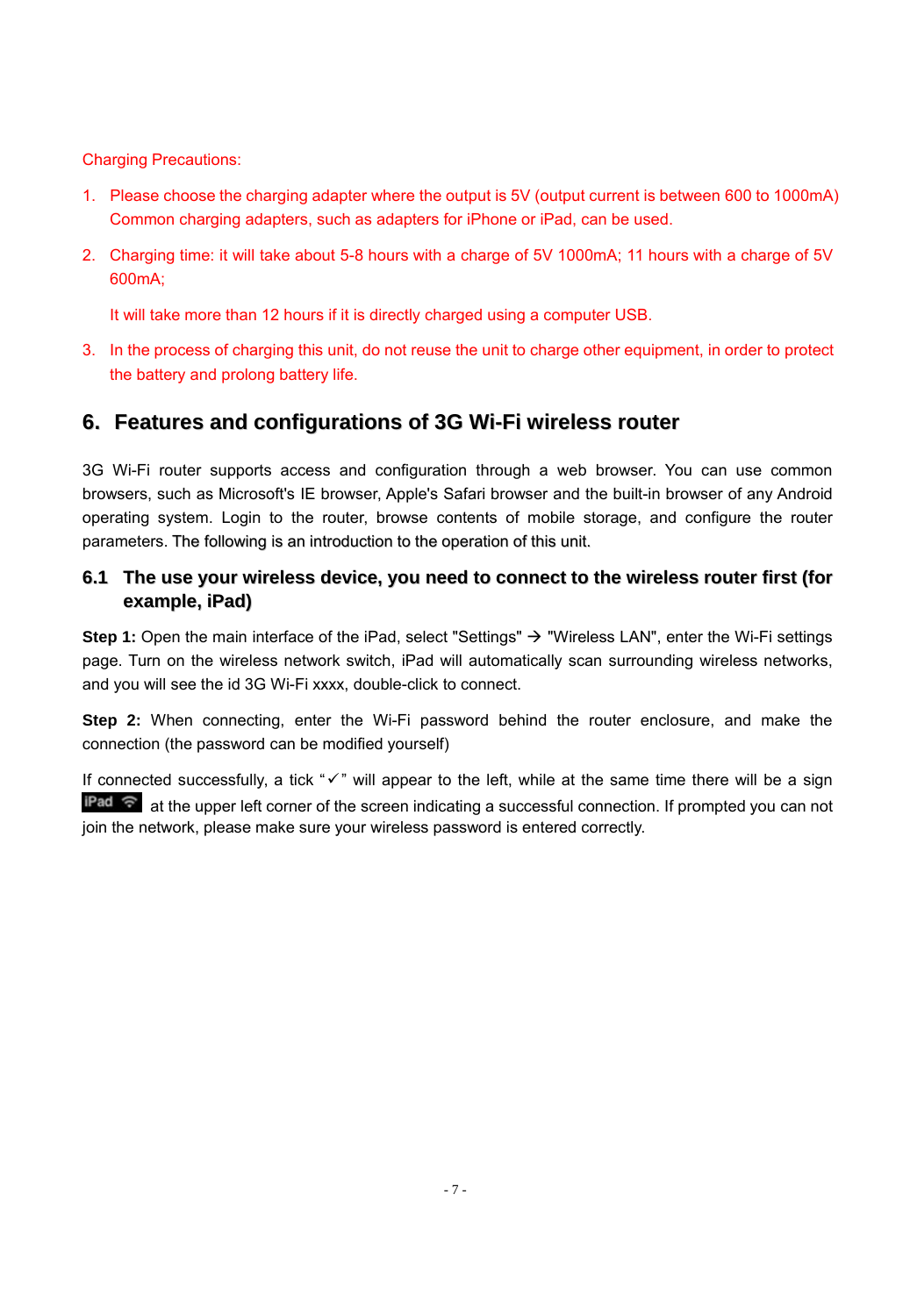Charging Precautions:

- 1. Please choose the charging adapter where the output is 5V (output current is between 600 to 1000mA) Common charging adapters, such as adapters for iPhone or iPad, can be used.
- 2. Charging time: it will take about 5-8 hours with a charge of 5V 1000mA; 11 hours with a charge of 5V 600mA;

It will take more than 12 hours if it is directly charged using a computer USB.

3. In the process of charging this unit, do not reuse the unit to charge other equipment, in order to protect the battery and prolong battery life.

## **6. Features and configurations of 3G Wi-Fi wireless router**

3G Wi-Fi router supports access and configuration through a web browser. You can use common browsers, such as Microsoft's IE browser, Apple's Safari browser and the built-in browser of any Android operating system. Login to the router, browse contents of mobile storage, and configure the router parameters. The following is an introduction to the operation of this unit.

#### **6.1 The use your wireless device, you need to connect to the wireless router first (for example, iPad)**

Step 1: Open the main interface of the iPad, select "Settings" → "Wireless LAN", enter the Wi-Fi settings page. Turn on the wireless network switch, iPad will automatically scan surrounding wireless networks, and you will see the id 3G Wi-Fi xxxx, double-click to connect.

**Step 2:** When connecting, enter the Wi-Fi password behind the router enclosure, and make the connection (the password can be modified yourself)

If connected successfully, a tick " $\checkmark$ " will appear to the left, while at the same time there will be a sign **Pad**  $\widehat{\mathcal{F}}$  at the upper left corner of the screen indicating a successful connection. If prompted you can not join the network, please make sure your wireless password is entered correctly.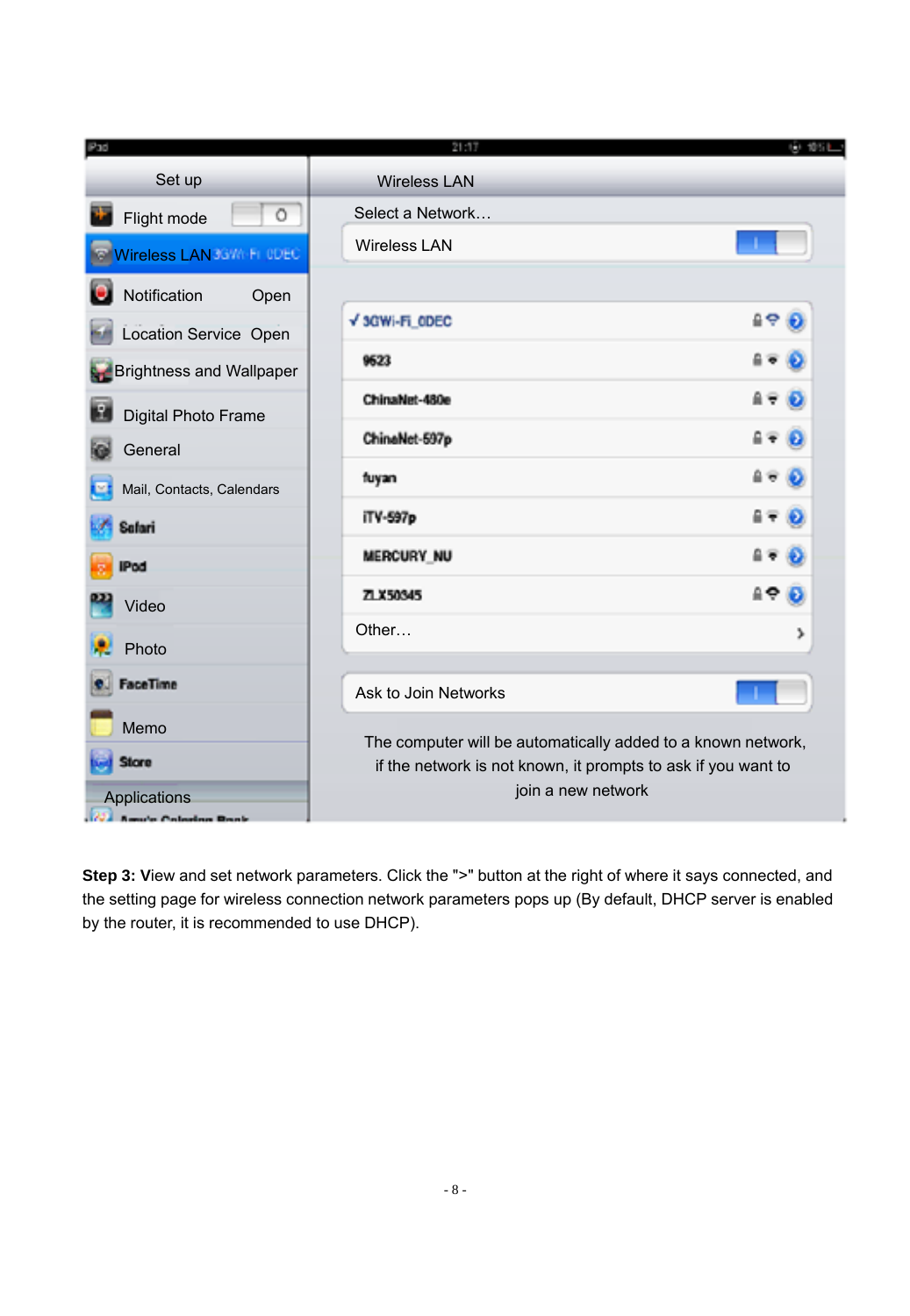| Pad                                   | 21:17                                                         | 田 銀江 |
|---------------------------------------|---------------------------------------------------------------|------|
| Set up                                | <b>Wireless LAN</b>                                           |      |
| $\circ$<br>Flight mode                | Select a Network                                              |      |
| Wireless LAN 36WM FL ODEC             | Wireless I AN                                                 |      |
| Notification<br>Open                  |                                                               |      |
| Location Service Open                 | √ 3GWi-Fi ODEC<br>요주                                          |      |
| <b>Brightness and Wallpaper</b>       | 9623                                                          |      |
| в<br>Digital Photo Frame              | ChinaNet-480e                                                 |      |
| General                               | ChinaNet-597p                                                 |      |
| Mail, Contacts, Calendars             | fuyan                                                         |      |
| Safari                                | iTV-597p                                                      |      |
| IPod                                  | <b>MERCURY NU</b>                                             |      |
| Video                                 | 49 O<br>ZLX50345                                              |      |
| Photo                                 | Other<br>>                                                    |      |
| FaceTime                              | Ask to Join Networks                                          |      |
| Memo                                  | The computer will be automatically added to a known network,  |      |
| <b>Store</b>                          | if the network is not known, it prompts to ask if you want to |      |
| Applications<br>and an American Month | join a new network                                            |      |

**Step 3: View and set network parameters. Click the ">" button at the right of where it says connected, and** the setting page for wireless connection network parameters pops up (By default, DHCP server is enabled by the router, it is recommended to use DHCP).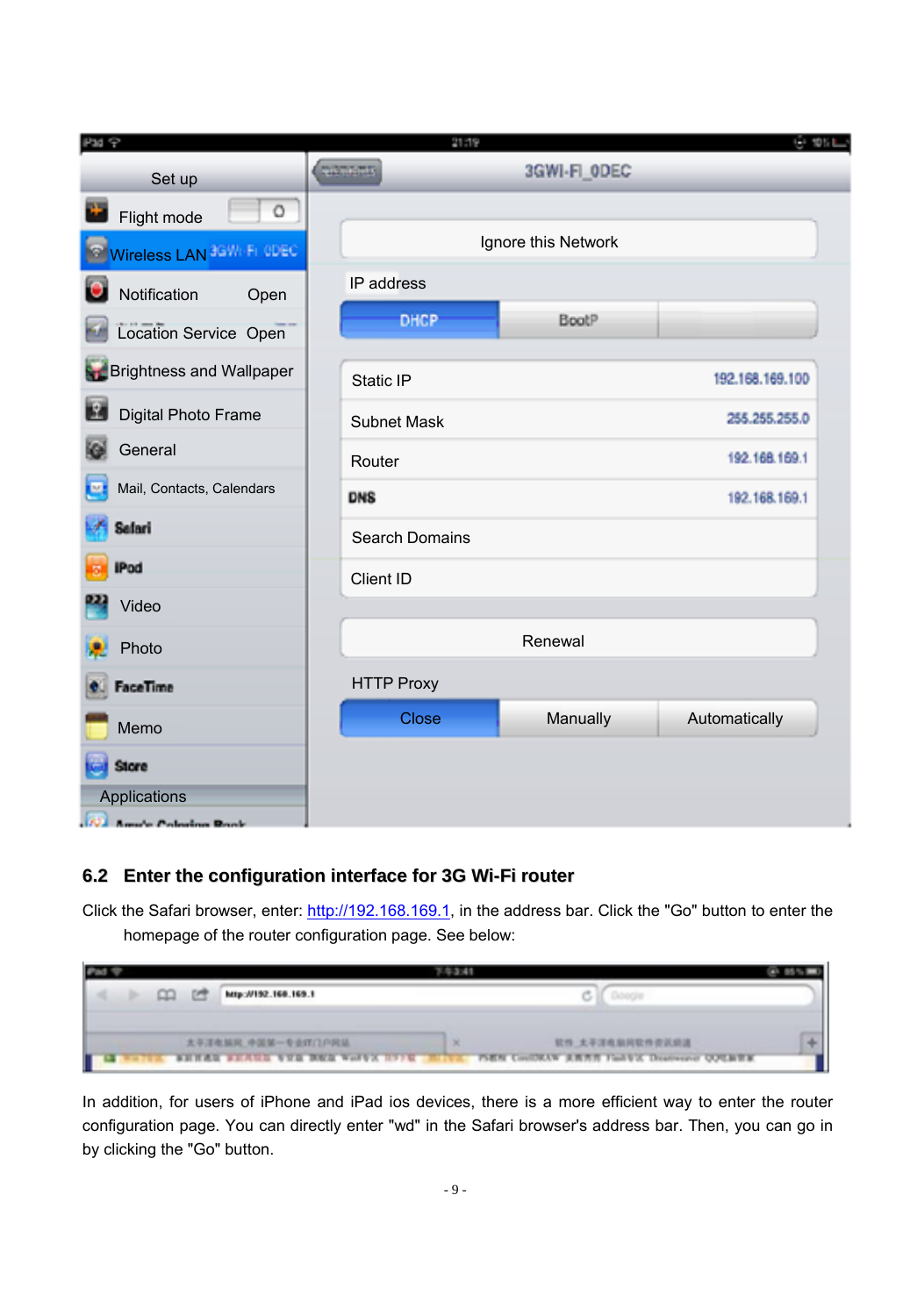| Pad <sub>9</sub>                  | 21:19             |                     | 61 101.1        |
|-----------------------------------|-------------------|---------------------|-----------------|
| Set up                            | <b>CONTRACTOR</b> | 3GWI-FI_ODEC        |                 |
| Ō<br>Flight mode                  |                   |                     |                 |
| Wireless LAN 3GWHFI ODEC          |                   | Ignore this Network |                 |
| Notification<br>Open              | IP address        |                     |                 |
| Location Service Open             | <b>DHCP</b>       | BootP               |                 |
| <b>R</b> Brightness and Wallpaper | Static IP         |                     | 192.168.169.100 |
| E<br>Digital Photo Frame          | Subnet Mask       |                     | 255.255.255.0   |
| General                           | Router            |                     | 192.168.169.1   |
| Mail, Contacts, Calendars         | <b>DNS</b>        |                     | 192.168.169.1   |
| Sefari                            | Search Domains    |                     |                 |
| <b>IPod</b>                       | Client ID         |                     |                 |
| Video                             |                   |                     |                 |
| Photo                             |                   | Renewal             |                 |
| FaceTime                          | <b>HTTP Proxy</b> |                     |                 |
| Memo                              | Close             | Manually            | Automatically   |
| <b>Store</b>                      |                   |                     |                 |
| Applications                      |                   |                     |                 |
| <b>All Americ Colombia Rook</b>   |                   |                     |                 |

## **6.2 Enter the configuration interface for 3G Wi-Fi router**

Click the Safari browser, enter: http://192.168.169.1, in the address bar. Click the "Go" button to enter the homepage of the router configuration page. See below:

| c | http://192.168.169.1                  |                                             |  |
|---|---------------------------------------|---------------------------------------------|--|
|   | 太平洋电脑风 中国第一专业样门户网站                    | 软件 太平洋电脑网软件资讯结准<br>$\mathbf x$              |  |
|   | <b>SHEAR SHARR VER BER WORK HEITE</b> | PSEN CONTRAN AWAY Factor Description QUEBER |  |

In addition, for users of iPhone and iPad ios devices, there is a more efficient way to enter the router configuration page. You can directly enter "wd" in the Safari browser's address bar. Then, you can go in by clicking the "Go" button.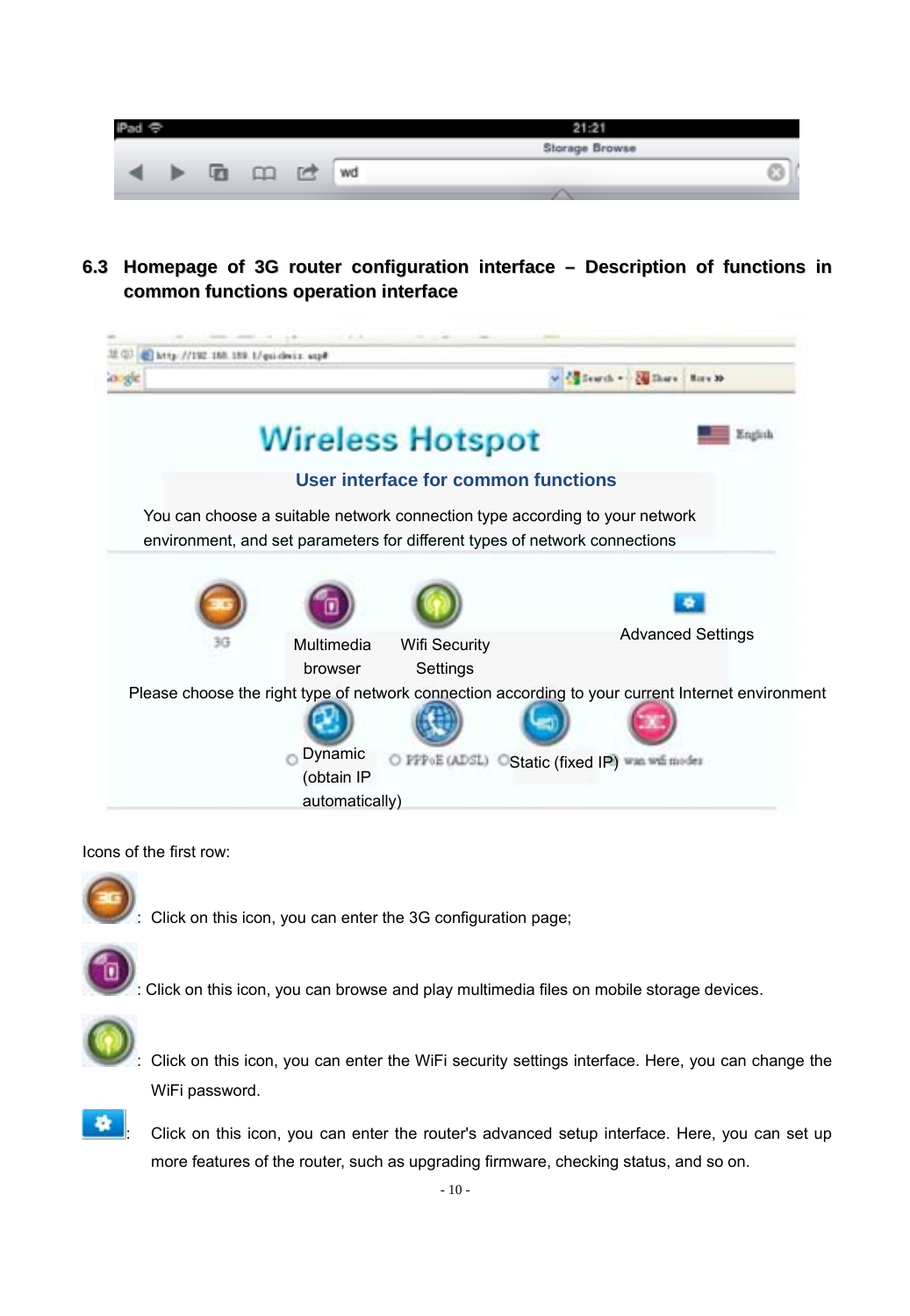|  |  |    |    | Storage Browse |  |
|--|--|----|----|----------------|--|
|  |  | r. | wd |                |  |
|  |  |    |    |                |  |

**6.3 Homepage of 3G router configuration interface – Description of functions in common functions operation interface**



#### Icons of the first row:



: Click on this icon, you can enter the 3G configuration page;



: Click on this icon, you can browse and play multimedia files on mobile storage devices.



: Click on this icon, you can enter the WiFi security settings interface. Here, you can change the WiFi password.



: Click on this icon, you can enter the router's advanced setup interface. Here, you can set up more features of the router, such as upgrading firmware, checking status, and so on.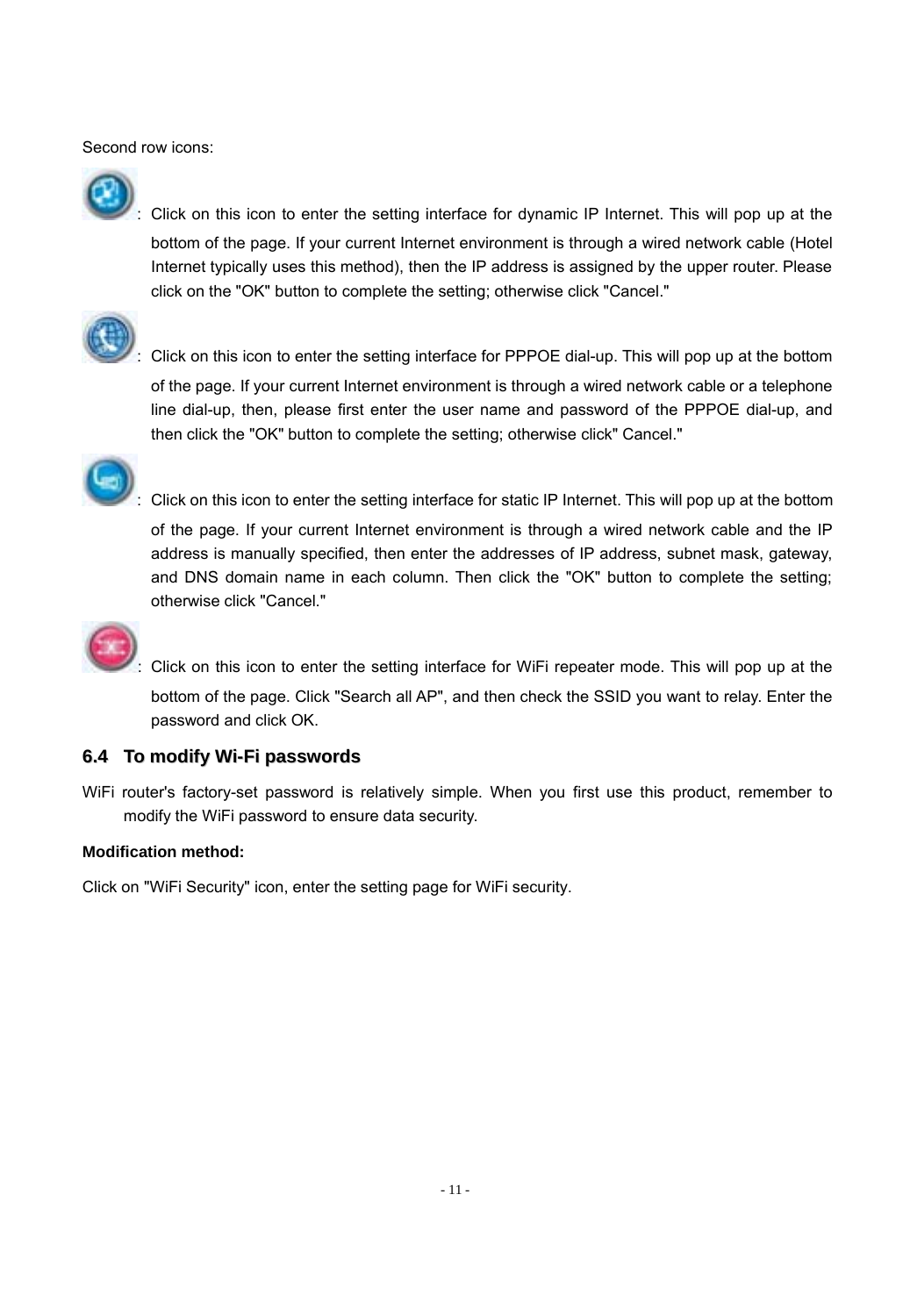Second row icons:



: Click on this icon to enter the setting interface for dynamic IP Internet. This will pop up at the bottom of the page. If your current Internet environment is through a wired network cable (Hotel Internet typically uses this method), then the IP address is assigned by the upper router. Please click on the "OK" button to complete the setting; otherwise click "Cancel."



: Click on this icon to enter the setting interface for PPPOE dial-up. This will pop up at the bottom

of the page. If your current Internet environment is through a wired network cable or a telephone line dial-up, then, please first enter the user name and password of the PPPOE dial-up, and then click the "OK" button to complete the setting; otherwise click" Cancel."



: Click on this icon to enter the setting interface for static IP Internet. This will pop up at the bottom of the page. If your current Internet environment is through a wired network cable and the IP address is manually specified, then enter the addresses of IP address, subnet mask, gateway, and DNS domain name in each column. Then click the "OK" button to complete the setting; otherwise click "Cancel."



: Click on this icon to enter the setting interface for WiFi repeater mode. This will pop up at the

bottom of the page. Click "Search all AP", and then check the SSID you want to relay. Enter the password and click OK.

#### **6.4 To modify Wi-Fi passwords**

WiFi router's factory-set password is relatively simple. When you first use this product, remember to modify the WiFi password to ensure data security.

#### **Modification method:**

Click on "WiFi Security" icon, enter the setting page for WiFi security.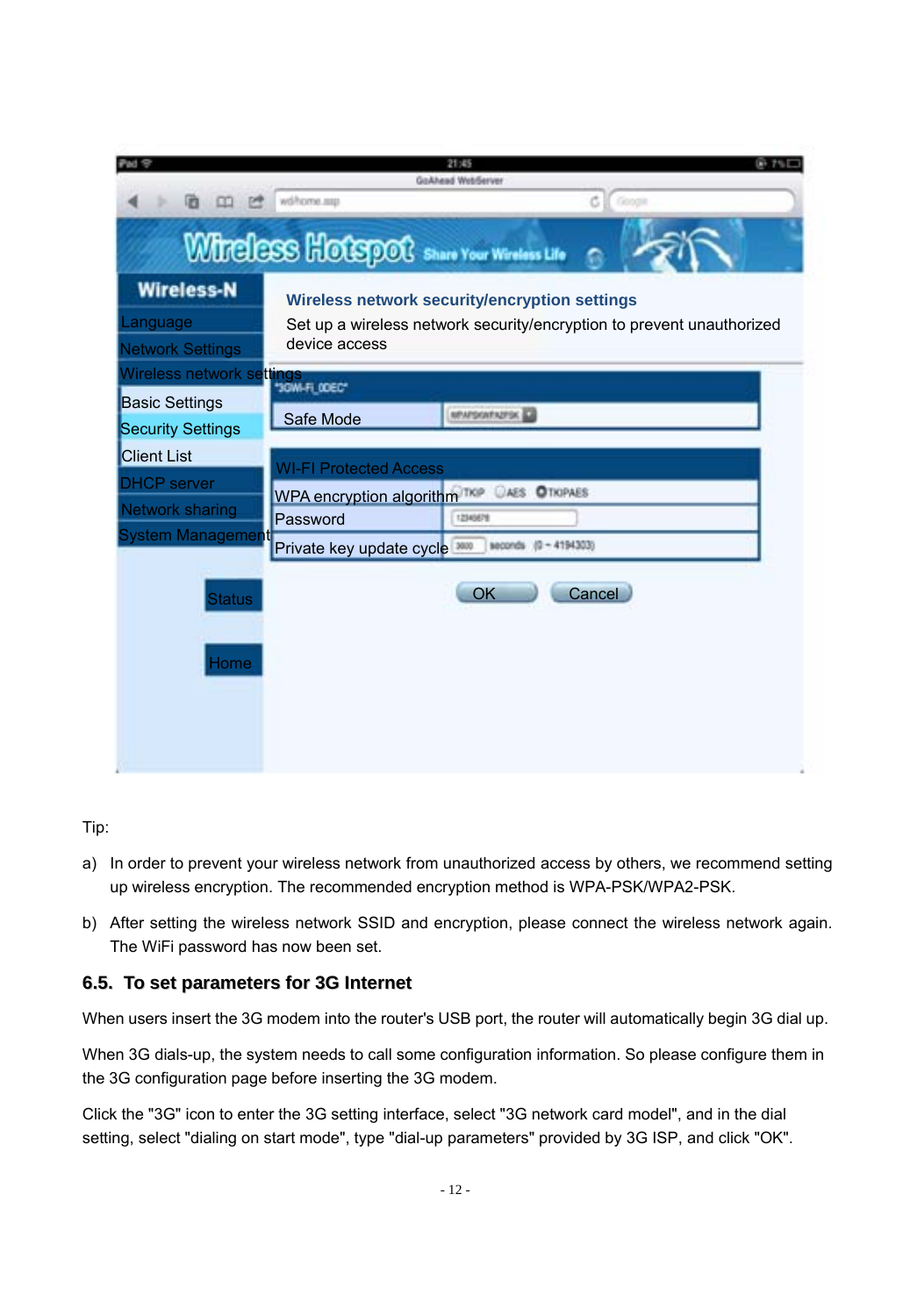|                                                          |                                                  | 21:45<br>GoAhead WebServer                                                                                             |
|----------------------------------------------------------|--------------------------------------------------|------------------------------------------------------------------------------------------------------------------------|
| 唇<br>CO-<br>p                                            | wilhome.com                                      | c.<br>Google                                                                                                           |
|                                                          | <b>WIRELESS HOLSPOC</b> Share Your Wireless Life |                                                                                                                        |
| <b>Wireless-N</b><br>Language<br><b>Network Settings</b> | device access                                    | Wireless network security/encryption settings<br>Set up a wireless network security/encryption to prevent unauthorized |
| Nireless network settings                                | "JOW-FLODEC"                                     |                                                                                                                        |
| <b>Basic Settings</b><br><b>Security Settings</b>        | Safe Mode                                        | <b>MONFOOTASTOK</b>                                                                                                    |
| <b>Client List</b>                                       | <b>WI-FI Protected Access</b>                    |                                                                                                                        |
| <b>DHCP</b> server<br><b>Network sharing</b>             | WPA encryption algorithm TKP CAES OTIOPAES       |                                                                                                                        |
| System Management                                        | Password                                         | 12540678                                                                                                               |
|                                                          | Private key update cycle 3000                    | seconds (0 - 4194303)                                                                                                  |
| <b>Status</b><br>ome                                     |                                                  | OK<br>Cancel                                                                                                           |
|                                                          |                                                  |                                                                                                                        |

Tip:

- a) In order to prevent your wireless network from unauthorized access by others, we recommend setting up wireless encryption. The recommended encryption method is WPA-PSK/WPA2-PSK.
- b) After setting the wireless network SSID and encryption, please connect the wireless network again. The WiFi password has now been set.

#### **6.5. To set parameters for 3G Internet**

When users insert the 3G modem into the router's USB port, the router will automatically begin 3G dial up.

When 3G dials-up, the system needs to call some configuration information. So please configure them in the 3G configuration page before inserting the 3G modem.

Click the "3G" icon to enter the 3G setting interface, select "3G network card model", and in the dial setting, select "dialing on start mode", type "dial-up parameters" provided by 3G ISP, and click "OK".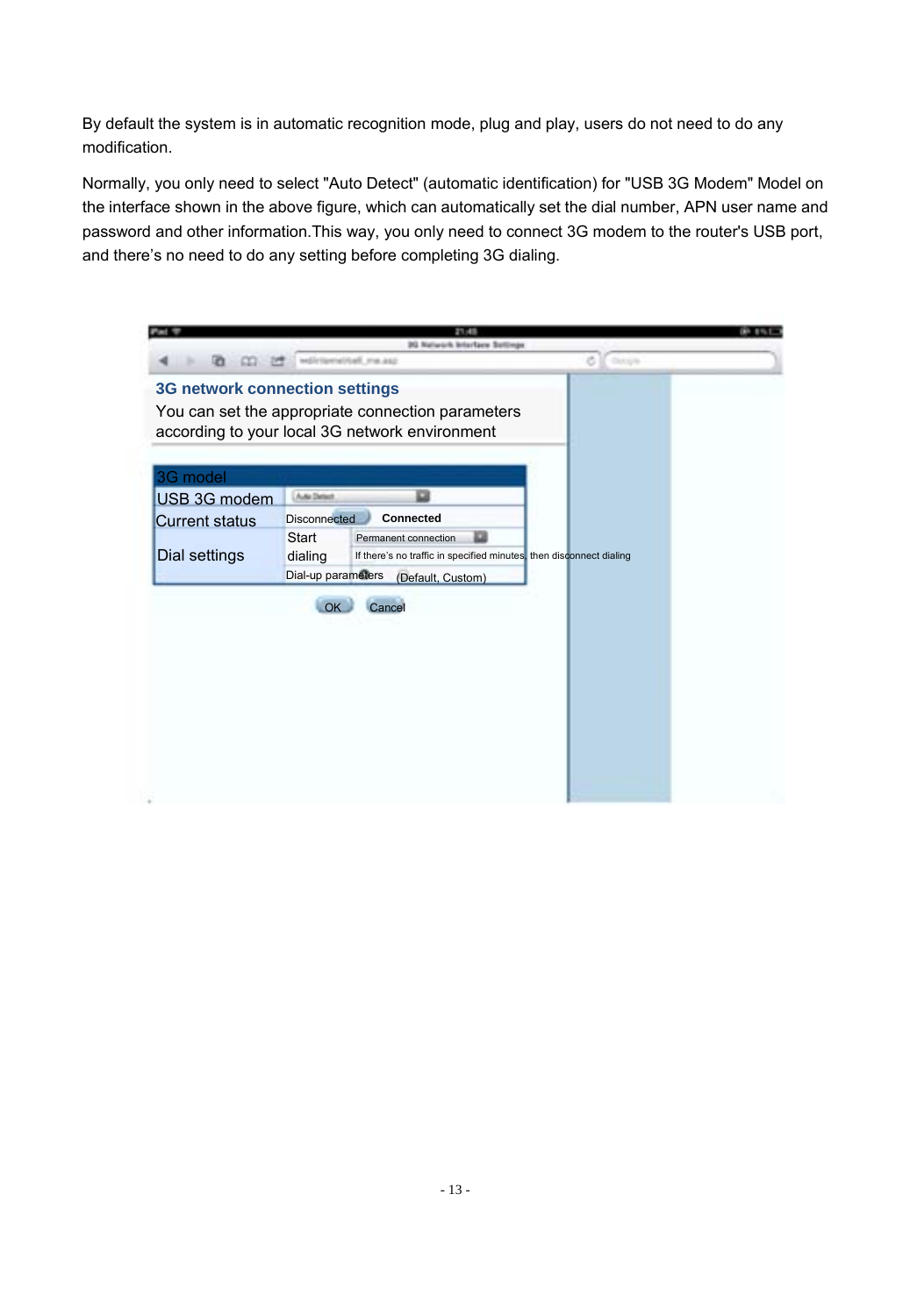By default the system is in automatic recognition mode, plug and play, users do not need to do any modification.

Normally, you only need to select "Auto Detect" (automatic identification) for "USB 3G Modem" Model on the interface shown in the above figure, which can automatically set the dial number, APN user name and password and other information.This way, you only need to connect 3G modem to the router's USB port, and there's no need to do any setting before completing 3G dialing.

|                                |                     | <b>TELET</b><br>30 Naturals Interface Settings                                                      |                     |  |
|--------------------------------|---------------------|-----------------------------------------------------------------------------------------------------|---------------------|--|
| <b>Ch</b><br>$\infty$<br>24    |                     | solicizensitual majasz                                                                              | ö<br><b>Changin</b> |  |
| 3G network connection settings |                     |                                                                                                     |                     |  |
|                                |                     | You can set the appropriate connection parameters<br>according to your local 3G network environment |                     |  |
| 3G model                       |                     |                                                                                                     |                     |  |
| USB 3G modem                   | <b>Auto Detect</b>  | o                                                                                                   |                     |  |
| <b>Current status</b>          | <b>Disconnected</b> | Connected                                                                                           |                     |  |
|                                | Start               | Permanent connection                                                                                |                     |  |
| Dial settings                  | dialing             | If there's no traffic in specified minutes, then disconnect dialing                                 |                     |  |
|                                | Dial-up parameters  | (Default, Custom)                                                                                   |                     |  |
|                                | $\alpha$            | Cancel                                                                                              |                     |  |
|                                |                     |                                                                                                     |                     |  |
|                                |                     |                                                                                                     |                     |  |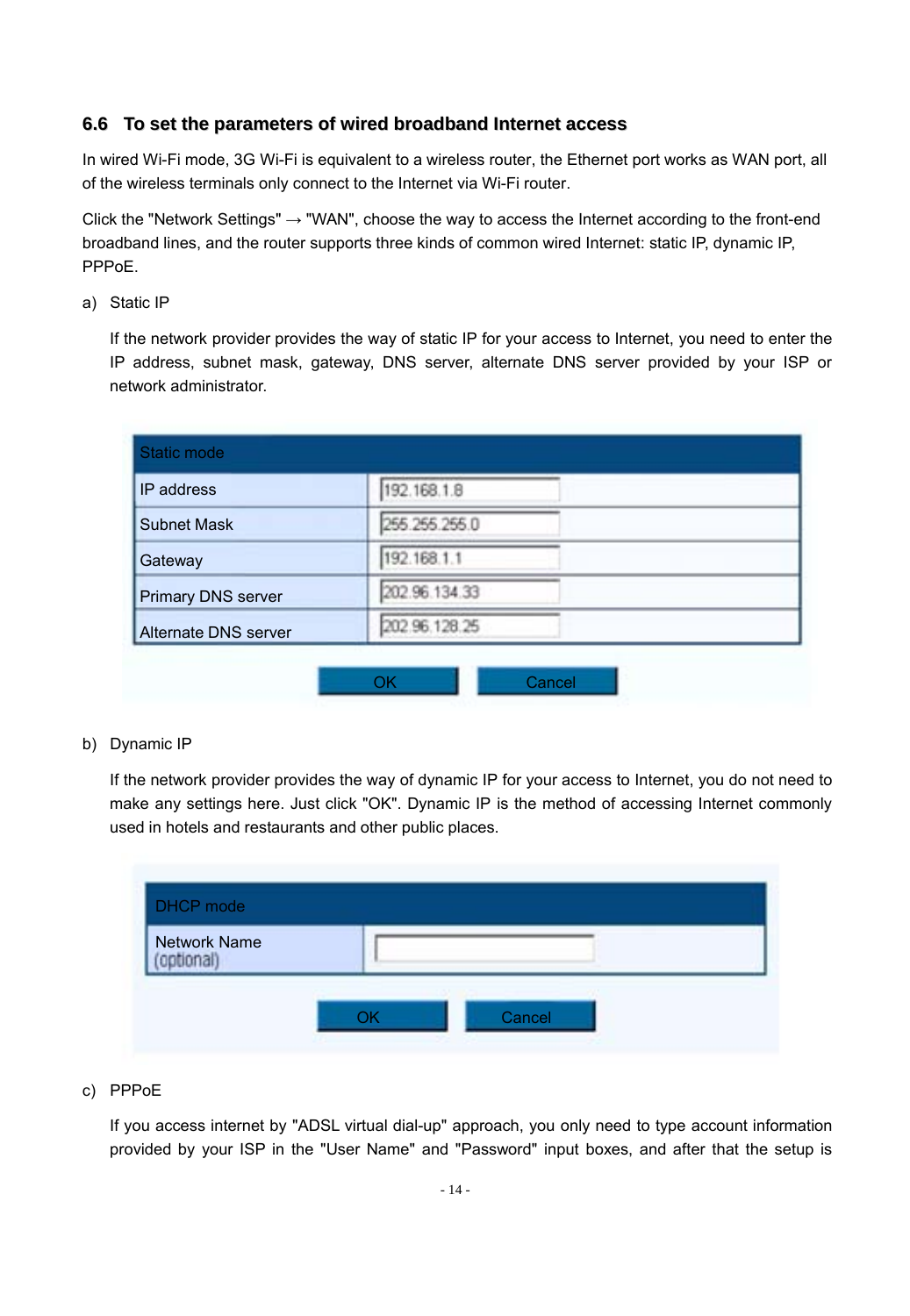#### **6.6 To set the parameters of wired broadband Internet access**

In wired Wi-Fi mode, 3G Wi-Fi is equivalent to a wireless router, the Ethernet port works as WAN port, all of the wireless terminals only connect to the Internet via Wi-Fi router.

Click the "Network Settings" → "WAN", choose the way to access the Internet according to the front-end broadband lines, and the router supports three kinds of common wired Internet: static IP, dynamic IP, PPPoE.

a) Static IP

If the network provider provides the way of static IP for your access to Internet, you need to enter the IP address, subnet mask, gateway, DNS server, alternate DNS server provided by your ISP or network administrator.

| IP address           | 192.168.1.8   |
|----------------------|---------------|
| Subnet Mask          | 255.255.255.0 |
| Gateway              | 192.168.1.1   |
| Primary DNS server   | 202.96.134.33 |
| Alternate DNS server | 202 96 128 25 |

b) Dynamic IP

If the network provider provides the way of dynamic IP for your access to Internet, you do not need to make any settings here. Just click "OK". Dynamic IP is the method of accessing Internet commonly used in hotels and restaurants and other public places.

| DHCP mode                 |        |  |
|---------------------------|--------|--|
| Network Name<br>optional) |        |  |
|                           | Cancel |  |

c) PPPoE

If you access internet by "ADSL virtual dial-up" approach, you only need to type account information provided by your ISP in the "User Name" and "Password" input boxes, and after that the setup is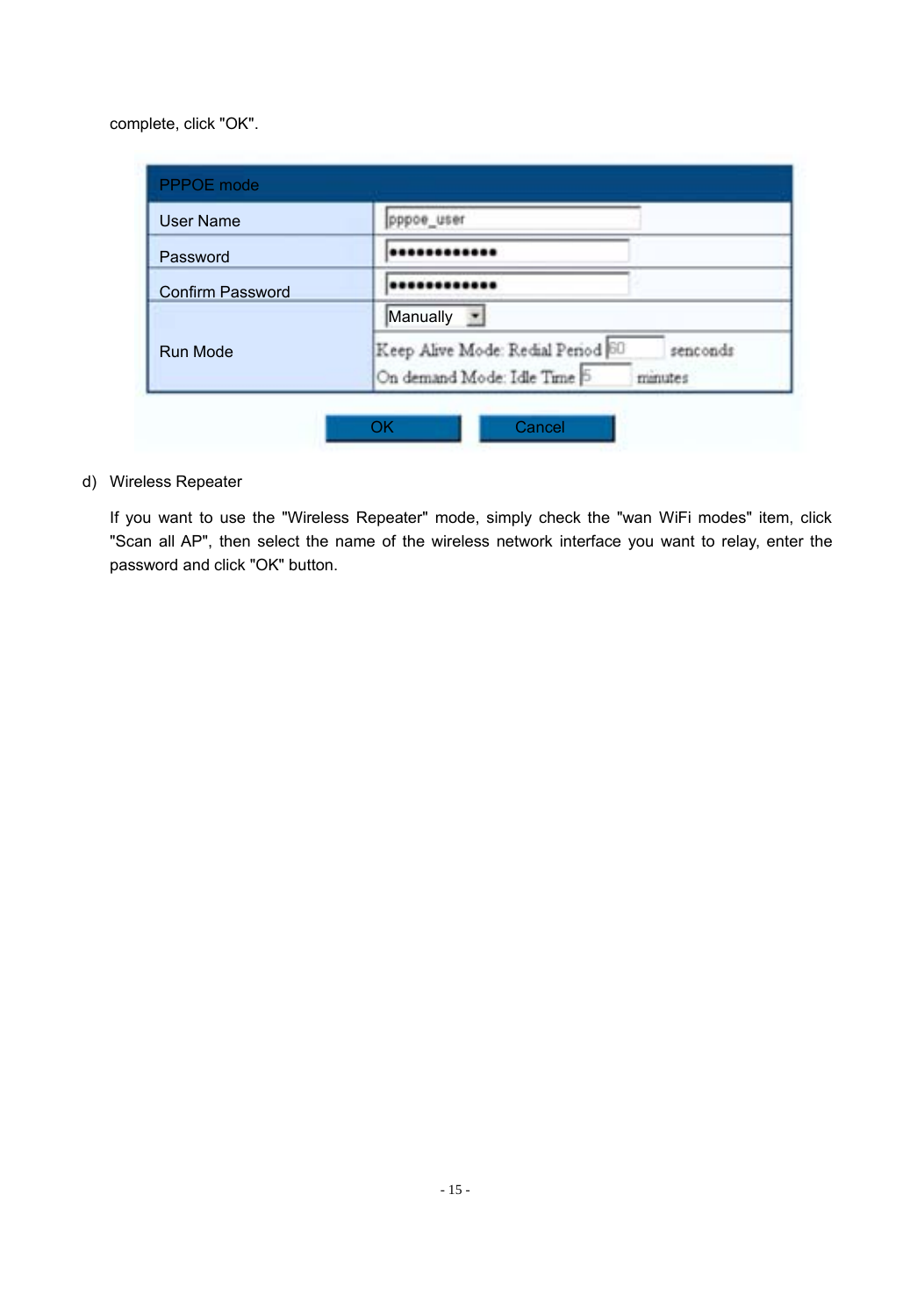complete, click "OK".

| User Name        | pppoe user                                                                              |  |
|------------------|-----------------------------------------------------------------------------------------|--|
| Password         |                                                                                         |  |
| Confirm Password |                                                                                         |  |
| Run Mode         | Manually<br>医                                                                           |  |
|                  | Keep Alive Mode: Redial Period 60<br>senconds<br>On demand Mode: Idle Time 5<br>minutes |  |

d) Wireless Repeater

If you want to use the "Wireless Repeater" mode, simply check the "wan WiFi modes" item, click "Scan all AP", then select the name of the wireless network interface you want to relay, enter the password and click "OK" button.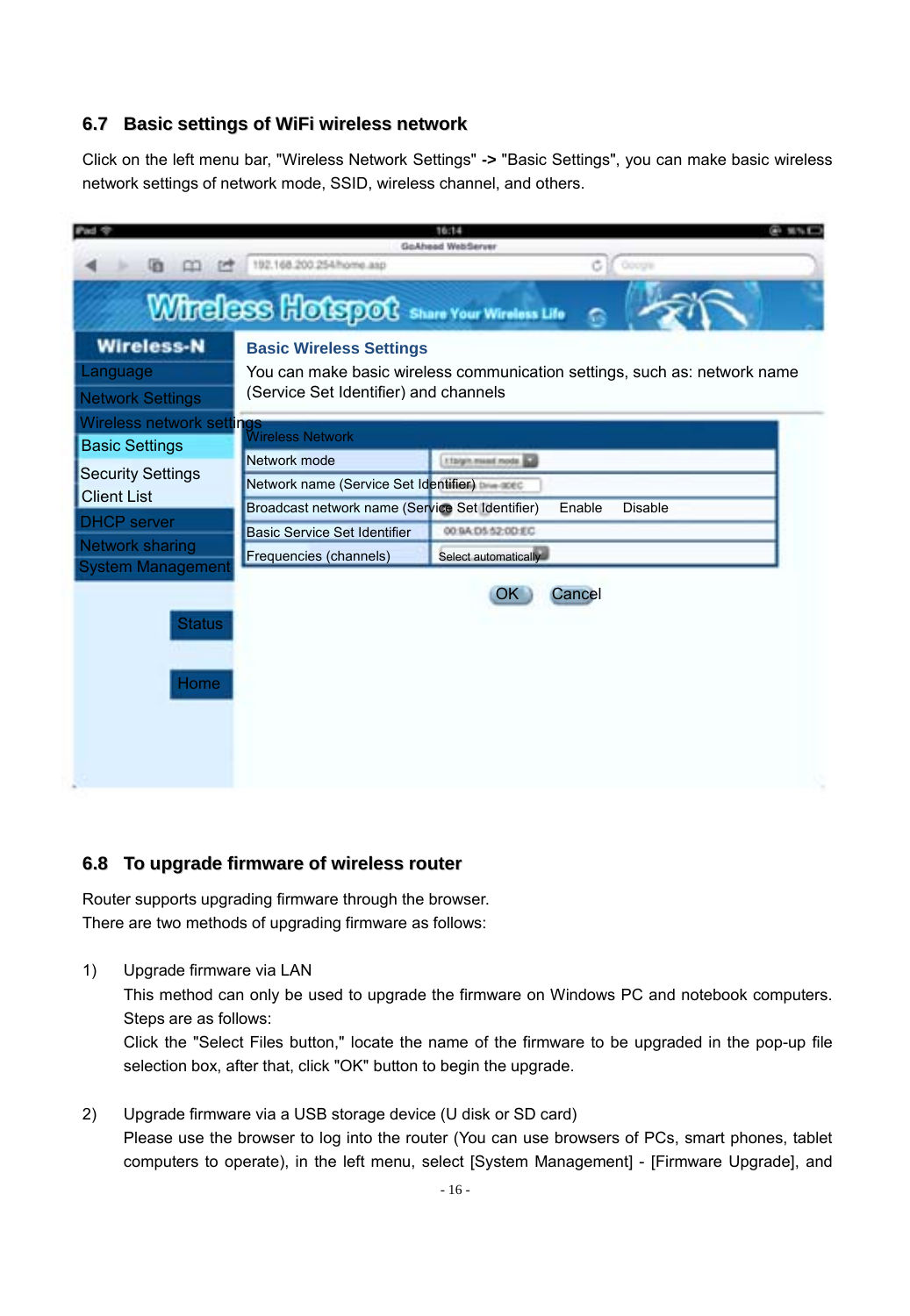#### **6.7 Basic settings of WiFi wireless network**

Click on the left menu bar, "Wireless Network Settings" **->** "Basic Settings", you can make basic wireless network settings of network mode, SSID, wireless channel, and others.



#### **6.8 To upgrade firmware of wireless router**

Router supports upgrading firmware through the browser. There are two methods of upgrading firmware as follows:

1) Upgrade firmware via LAN

This method can only be used to upgrade the firmware on Windows PC and notebook computers. Steps are as follows:

Click the "Select Files button," locate the name of the firmware to be upgraded in the pop-up file selection box, after that, click "OK" button to begin the upgrade.

2) Upgrade firmware via a USB storage device (U disk or SD card) Please use the browser to log into the router (You can use browsers of PCs, smart phones, tablet computers to operate), in the left menu, select [System Management] - [Firmware Upgrade], and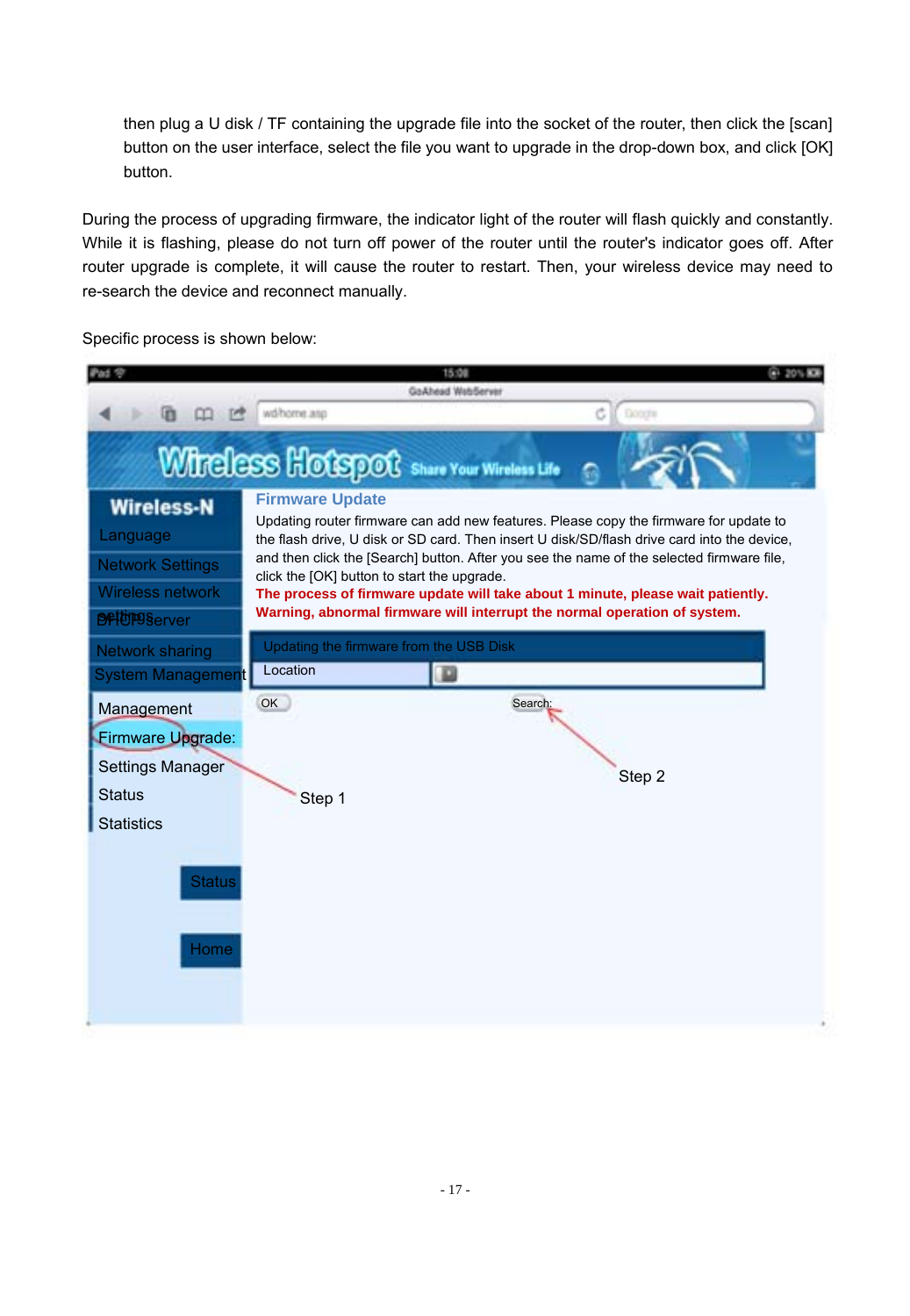then plug a U disk / TF containing the upgrade file into the socket of the router, then click the [scan] button on the user interface, select the file you want to upgrade in the drop-down box, and click [OK] button.

During the process of upgrading firmware, the indicator light of the router will flash quickly and constantly. While it is flashing, please do not turn off power of the router until the router's indicator goes off. After router upgrade is complete, it will cause the router to restart. Then, your wireless device may need to re-search the device and reconnect manually.

Specific process is shown below:

|                                                            |                                                     | 15:00                    |                                                                                                                                                                                      |  |
|------------------------------------------------------------|-----------------------------------------------------|--------------------------|--------------------------------------------------------------------------------------------------------------------------------------------------------------------------------------|--|
|                                                            | wd/home.anp                                         | <b>GoAhead WebServer</b> | Doogle<br>c                                                                                                                                                                          |  |
|                                                            |                                                     |                          |                                                                                                                                                                                      |  |
|                                                            | Wireless Hotspot Share Your Wireless Life           |                          |                                                                                                                                                                                      |  |
| <b>Wireless-N</b><br>Language                              | <b>Firmware Update</b>                              |                          | Updating router firmware can add new features. Please copy the firmware for update to<br>the flash drive. U disk or SD card. Then insert U disk/SD/flash drive card into the device. |  |
| <b>Network Settings</b>                                    | click the [OK] button to start the upgrade.         |                          | and then click the [Search] button. After you see the name of the selected firmware file.                                                                                            |  |
| Wireless network                                           |                                                     |                          | The process of firmware update will take about 1 minute, please wait patiently.                                                                                                      |  |
| <b>BRIUPSServer</b>                                        |                                                     |                          | Warning, abnormal firmware will interrupt the normal operation of system.                                                                                                            |  |
| Network sharing                                            | Updating the firmware from the USB Disk<br>Location |                          |                                                                                                                                                                                      |  |
| <b>System Management</b>                                   |                                                     | D                        |                                                                                                                                                                                      |  |
| Management<br>Firmware Upgrade:<br><b>Settings Manager</b> | OK                                                  |                          | Search:                                                                                                                                                                              |  |
| <b>Status</b>                                              | Step 1                                              |                          | Step 2                                                                                                                                                                               |  |
| <b>Statistics</b>                                          |                                                     |                          |                                                                                                                                                                                      |  |
| <b>Status</b><br>Home                                      |                                                     |                          |                                                                                                                                                                                      |  |
|                                                            |                                                     |                          |                                                                                                                                                                                      |  |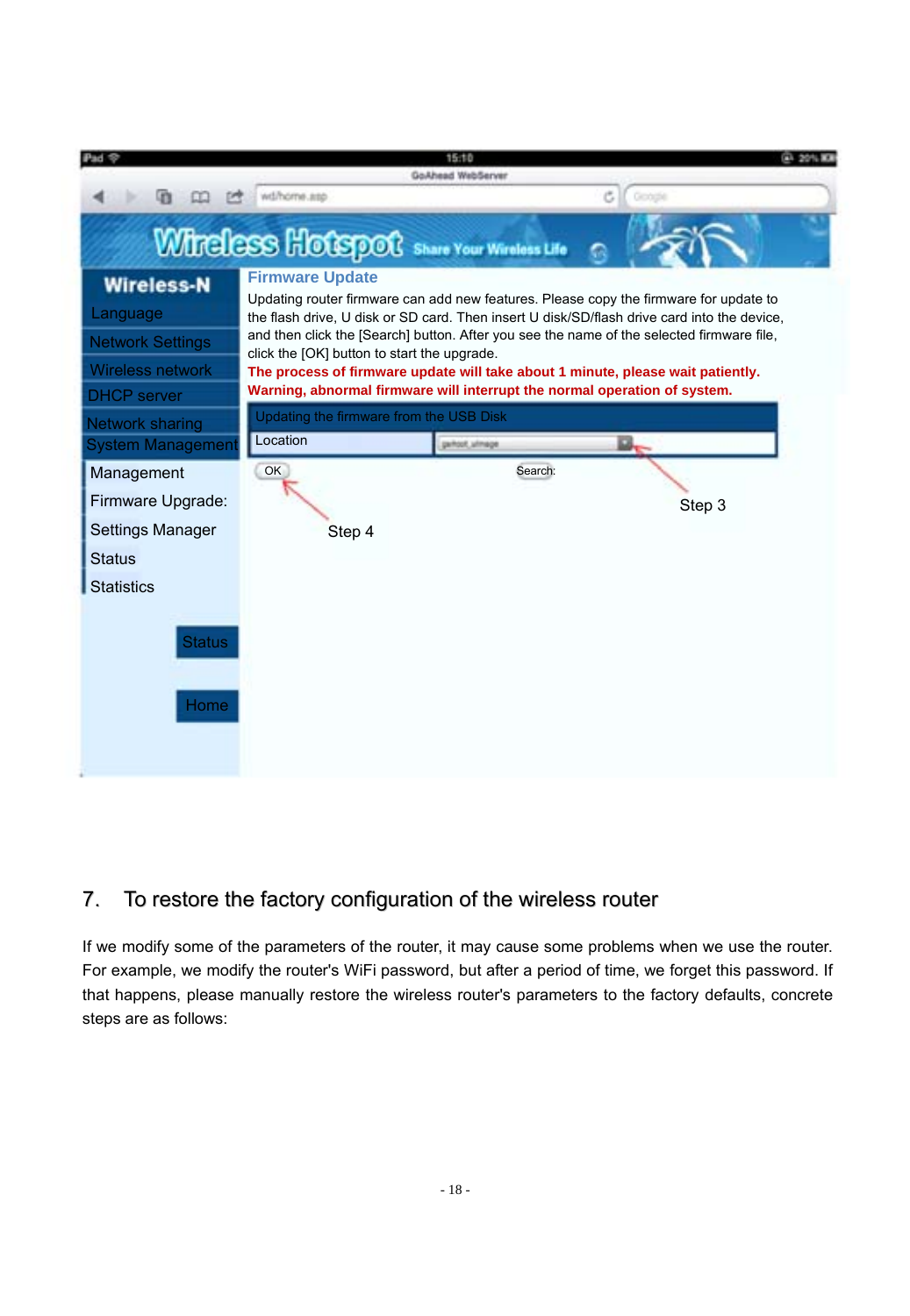

## 7. To restore the factory configuration of the wireless router

If we modify some of the parameters of the router, it may cause some problems when we use the router. For example, we modify the router's WiFi password, but after a period of time, we forget this password. If that happens, please manually restore the wireless router's parameters to the factory defaults, concrete steps are as follows: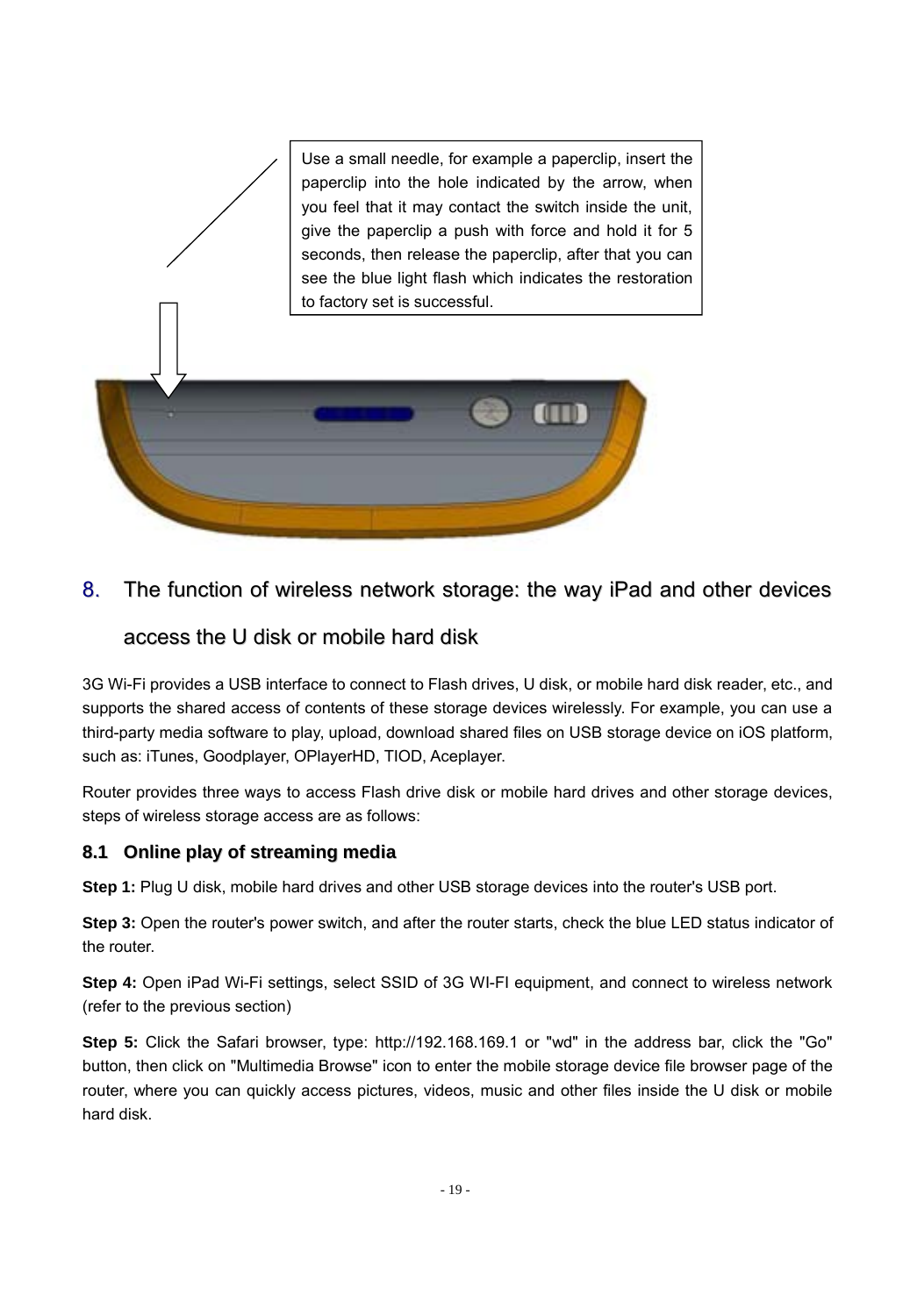

#### 8. The function of wireless network storage: the way iPad and other devices

## access the U disk or mobile hard disk

3G Wi-Fi provides a USB interface to connect to Flash drives, U disk, or mobile hard disk reader, etc., and supports the shared access of contents of these storage devices wirelessly. For example, you can use a third-party media software to play, upload, download shared files on USB storage device on iOS platform, such as: iTunes, Goodplayer, OPlayerHD, TIOD, Aceplayer,

Router provides three ways to access Flash drive disk or mobile hard drives and other storage devices, steps of wireless storage access are as follows:

#### **8.1 Online play of streaming media**

**Step 1:** Plug U disk, mobile hard drives and other USB storage devices into the router's USB port.

**Step 3:** Open the router's power switch, and after the router starts, check the blue LED status indicator of the router.

**Step 4:** Open iPad Wi-Fi settings, select SSID of 3G WI-FI equipment, and connect to wireless network (refer to the previous section)

**Step 5:** Click the Safari browser, type: http://192.168.169.1 or "wd" in the address bar, click the "Go" button, then click on "Multimedia Browse" icon to enter the mobile storage device file browser page of the router, where you can quickly access pictures, videos, music and other files inside the U disk or mobile hard disk.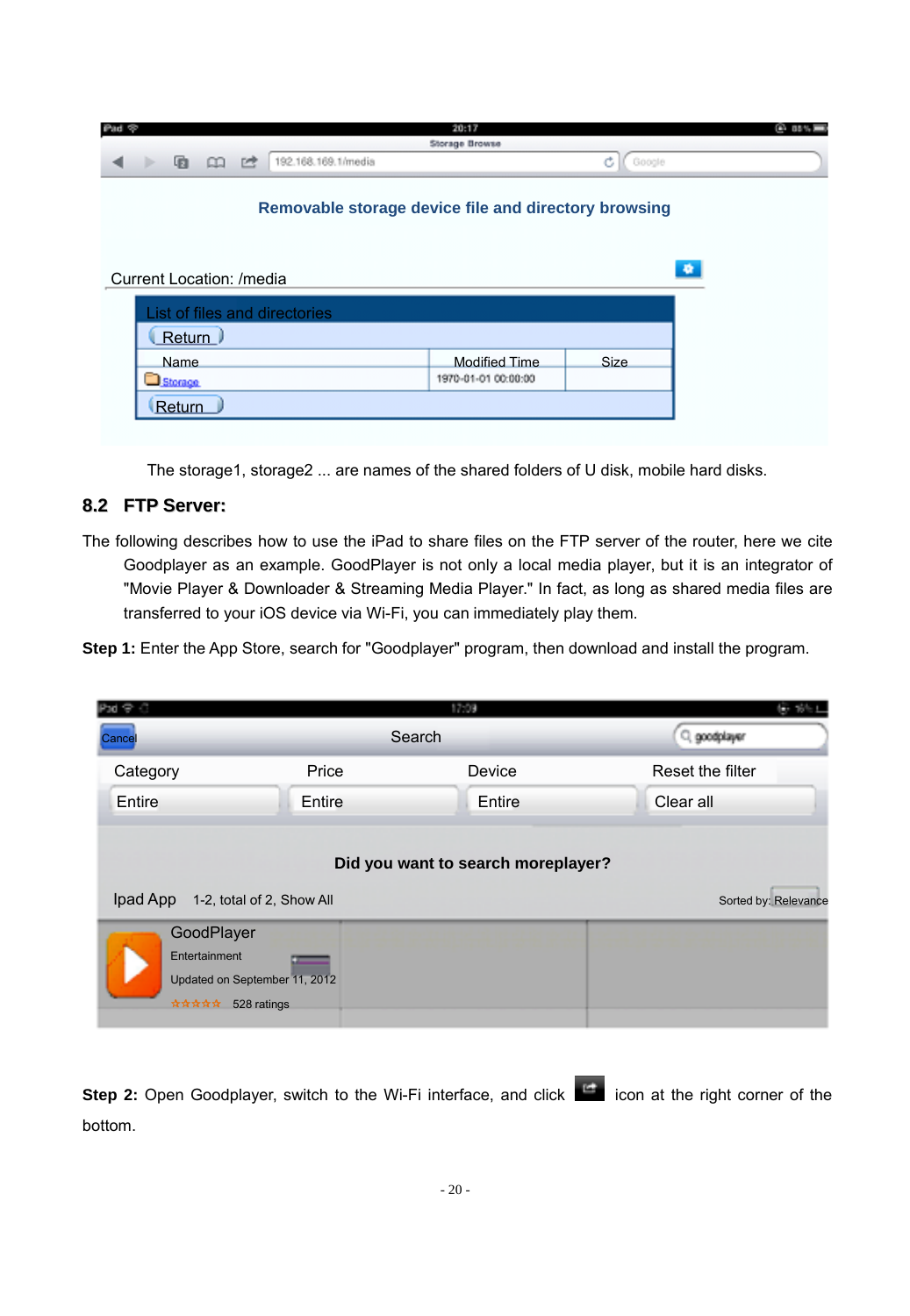| Ø<br><b>Coltri</b> |                          |    |  |                                                      | 20:17                |             | 6.15%     |
|--------------------|--------------------------|----|--|------------------------------------------------------|----------------------|-------------|-----------|
| Storage Browse     |                          |    |  |                                                      |                      |             |           |
| ÷                  | 看                        | me |  | 192.168.169.1/media                                  |                      | Ć<br>Google |           |
|                    |                          |    |  | Removable storage device file and directory browsing |                      |             |           |
|                    | Current Location: /media |    |  | List of files and directories                        |                      |             | $\bullet$ |
|                    | Return )                 |    |  |                                                      |                      |             |           |
|                    | <b>Name</b>              |    |  |                                                      | <b>Modified Time</b> | Size        |           |
|                    | Storage                  |    |  |                                                      | 1970-01-01 00:00:00  |             |           |
|                    | Return                   |    |  |                                                      |                      |             |           |

The storage1, storage2 ... are names of the shared folders of U disk, mobile hard disks.

#### **8.2 FTP Server:**

The following describes how to use the iPad to share files on the FTP server of the router, here we cite Goodplayer as an example. GoodPlayer is not only a local media player, but it is an integrator of "Movie Player & Downloader & Streaming Media Player." In fact, as long as shared media files are transferred to your iOS device via Wi-Fi, you can immediately play them.

**Step 1:** Enter the App Store, search for "Goodplayer" program, then download and install the program.

| Pod @ C                                 |                                                                                       | 17:09                              | 後 WHI                |
|-----------------------------------------|---------------------------------------------------------------------------------------|------------------------------------|----------------------|
| Cance                                   |                                                                                       | Search                             | Q goodplayer         |
| Category                                | Price                                                                                 | Device                             | Reset the filter     |
| Entire                                  | Entire                                                                                | Entire                             | Clear all            |
| Ipad App<br>GoodPlayer<br>Entertainment | 1-2, total of 2, Show All<br>Updated on September 11, 2012<br><b>含含含含 528 ratings</b> | Did you want to search moreplayer? | Sorted by: Relevance |

Step 2: Open Goodplayer, switch to the Wi-Fi interface, and click **in the late in at the right corner of the** bottom.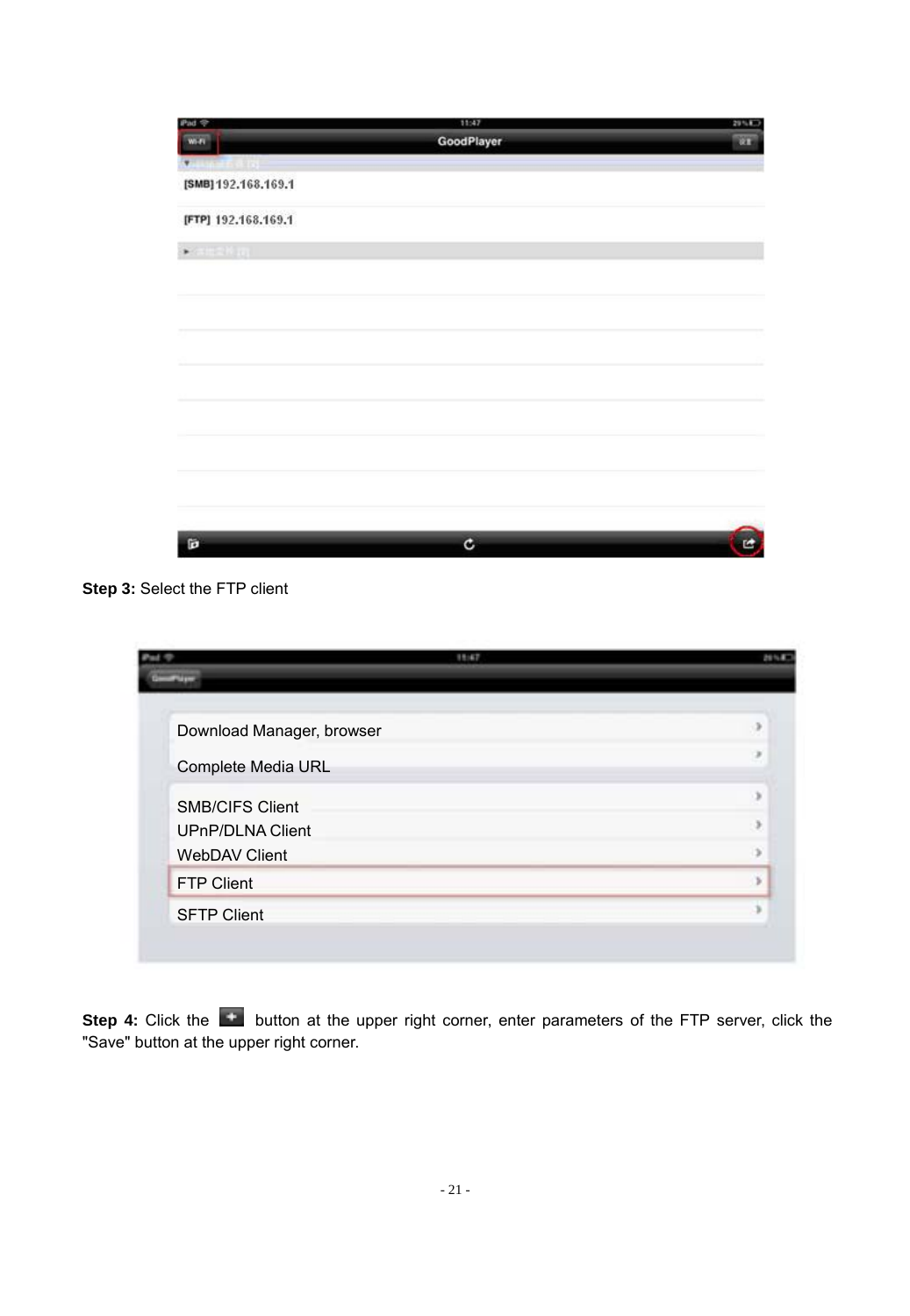| Pad <sup>-</sup>        | 11:47      | 29% 87 |
|-------------------------|------------|--------|
| $W - F$                 | GoodPlayer | œ      |
| <b>Altres de Carrie</b> |            |        |
| [SMB] 192.168.169.1     |            |        |
| [FTP] 192.168.169.1     |            |        |
| $*$ arakan              |            |        |
|                         |            |        |
|                         |            |        |
|                         |            |        |
|                         |            |        |
|                         |            |        |
|                         |            |        |
|                         |            |        |
|                         |            |        |
|                         |            |        |
| Ď                       | ¢          | œ      |

**Step 3:** Select the FTP client

|                                          | 11:47 | <b>July 4</b> |
|------------------------------------------|-------|---------------|
|                                          |       |               |
| Download Manager, browser                |       | ۰             |
| Complete Media URL                       |       | ٠             |
| <b>SMB/CIFS Client</b>                   |       | x             |
| <b>UPnP/DLNA Client</b><br>WebDAV Client |       | $\sim$        |
| FTP Client                               |       |               |
| <b>SFTP Client</b>                       |       |               |
|                                          |       |               |

Step 4: Click the **button at the upper right corner**, enter parameters of the FTP server, click the<br>"Save" button at the upper right corner.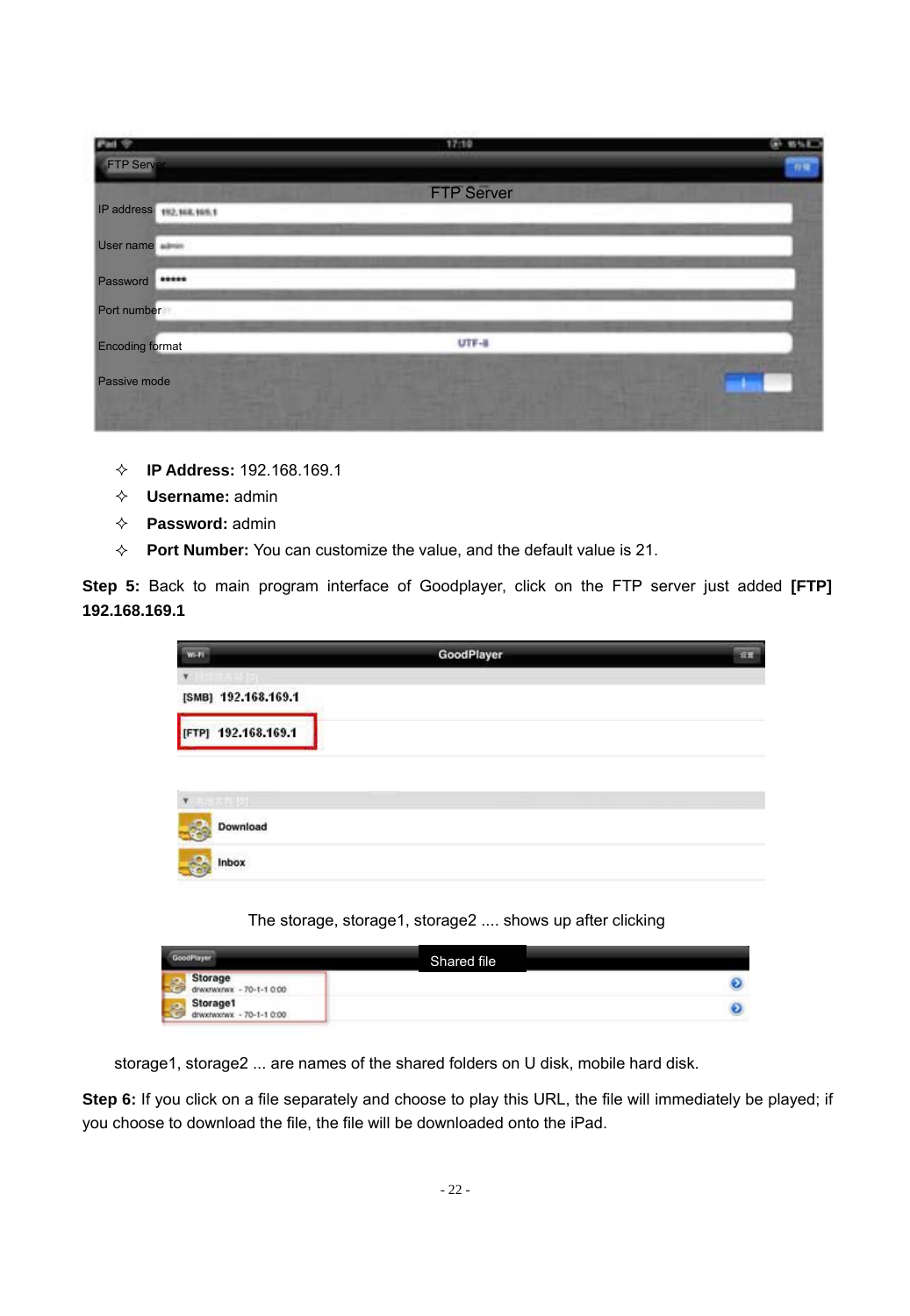| Pad 97                         | 17/10             | 0.855     |
|--------------------------------|-------------------|-----------|
| FTP Serv                       |                   | $\eta$ is |
|                                | <b>FTP Server</b> |           |
| IP address<br>192, 168, 165, 1 |                   |           |
| User name winter               |                   |           |
| <br>Password                   |                   |           |
| Port number                    |                   |           |
| __<br><b>Encoding format</b>   | _<br>$UTF-8$      |           |
| Passive mode                   |                   |           |
|                                |                   |           |

- **IP Address:** 192.168.169.1
- **Username:** admin
- **Password:** admin
- **Port Number:** You can customize the value, and the default value is 21.

**Step 5:** Back to main program interface of Goodplayer, click on the FTP server just added **[FTP] 192.168.169.1**

| u.                    | GoodPlayer | m. |
|-----------------------|------------|----|
| ٧                     |            |    |
| [SMB] 192.168.169.1   |            |    |
| TPJ 192.168.169.1     |            |    |
|                       |            |    |
| ٠<br><b>SHEET (2)</b> |            |    |
| Download<br>S         |            |    |
| Inbox                 |            |    |

#### The storage, storage1, storage2 .... shows up after clicking

| codPiager.                            | Shared file |  |
|---------------------------------------|-------------|--|
| Storage<br>drwstworax - 70-1-1 0:00   |             |  |
| Storage1<br>drawinates: - 70-1-1 0:00 |             |  |

storage1, storage2 ... are names of the shared folders on U disk, mobile hard disk.

Step 6: If you click on a file separately and choose to play this URL, the file will immediately be played; if you choose to download the file, the file will be downloaded onto the iPad.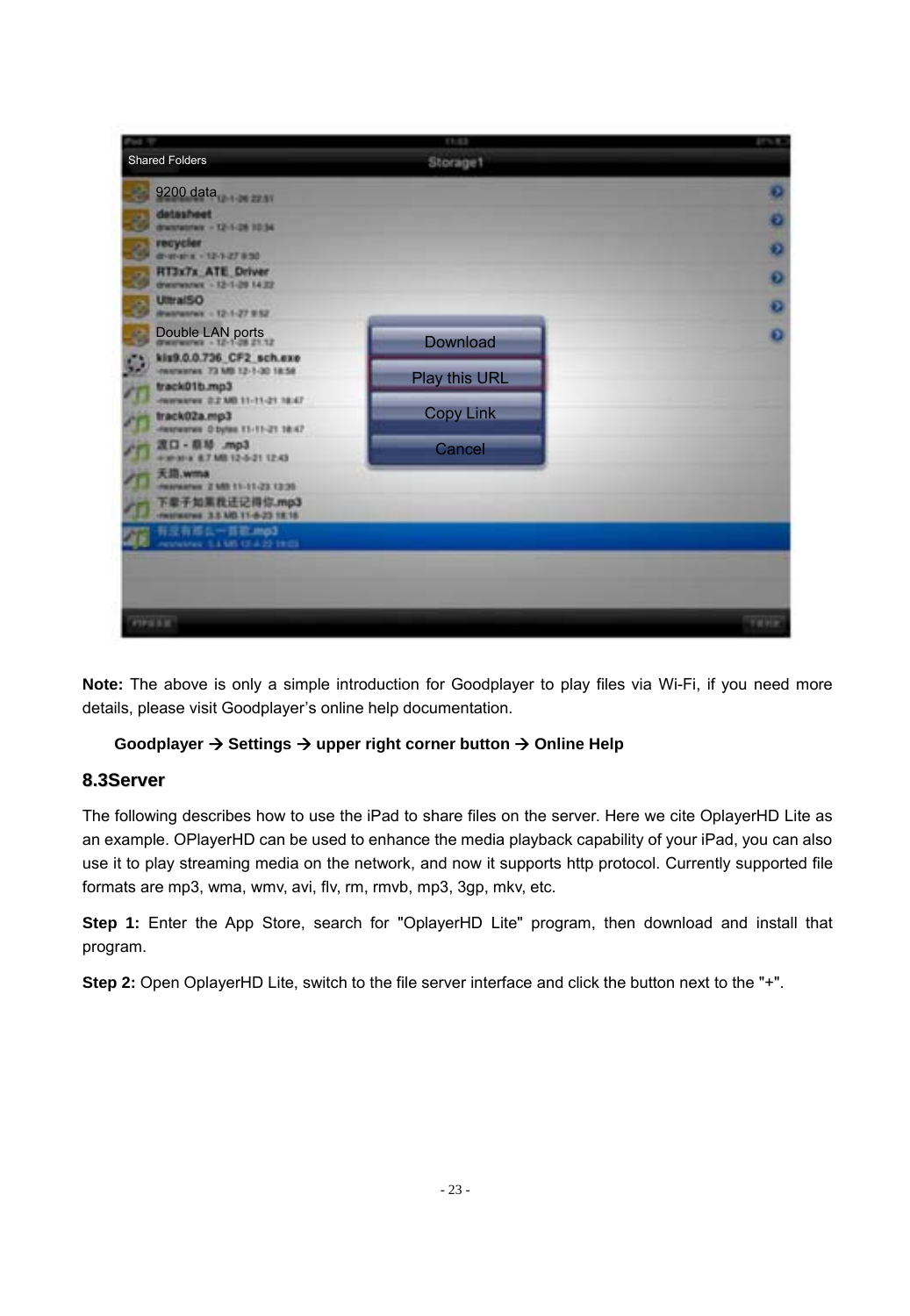

**Note:** The above is only a simple introduction for Goodplayer to play files via Wi-Fi, if you need more details, please visit Goodplayer's online help documentation.

#### **Goodplayer Settings upper right corner button Online Help**

#### **8.3Server**

The following describes how to use the iPad to share files on the server. Here we cite OplayerHD Lite as an example. OPlayerHD can be used to enhance the media playback capability of your iPad, you can also use it to play streaming media on the network, and now it supports http protocol. Currently supported file formats are mp3, wma, wmv, avi, flv, rm, rmvb, mp3, 3gp, mkv, etc.

Step 1: Enter the App Store, search for "OplayerHD Lite" program, then download and install that program.

**Step 2:** Open OplayerHD Lite, switch to the file server interface and click the button next to the "+".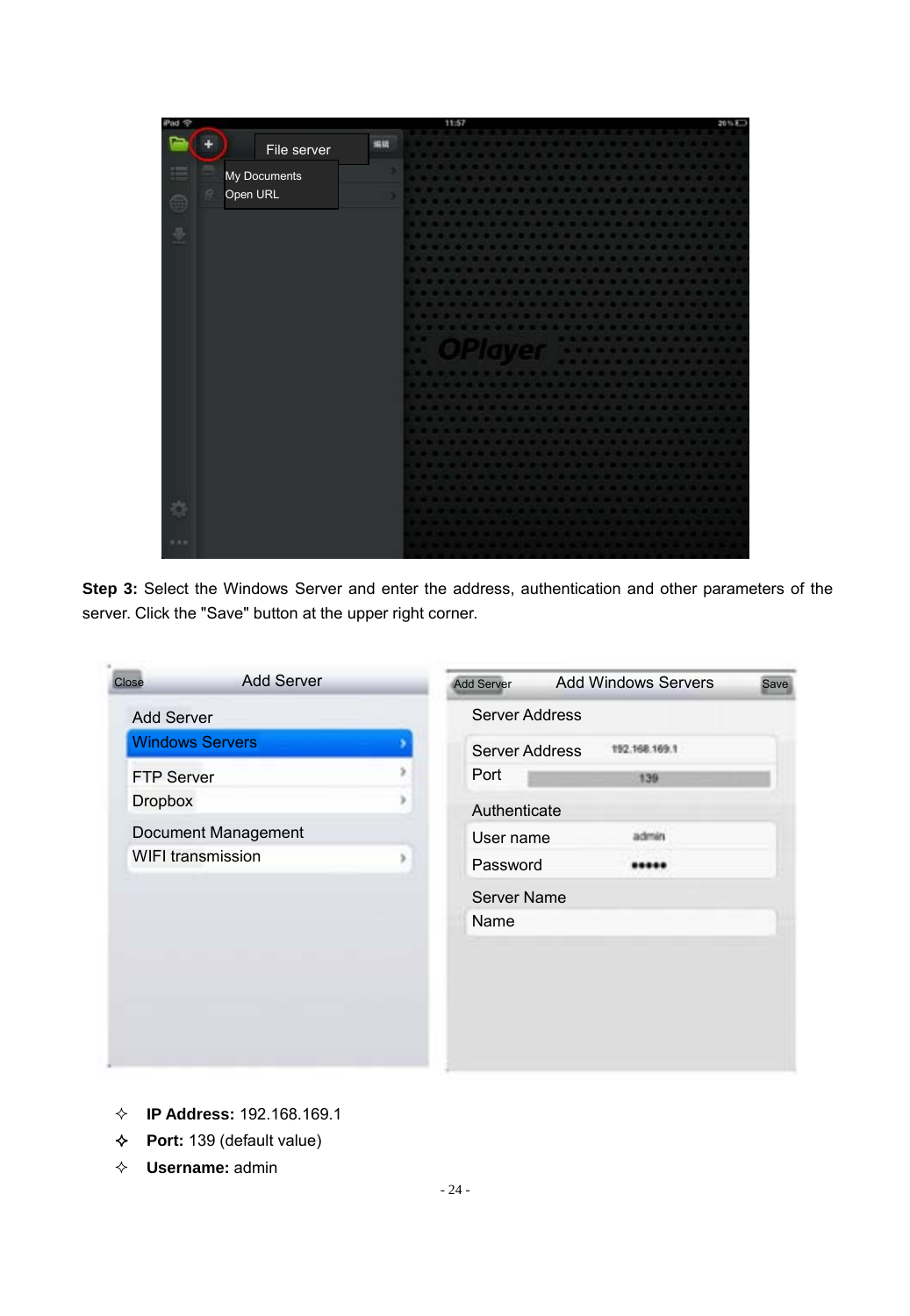

**Step 3:** Select the Windows Server and enter the address, authentication and other parameters of the server. Click the "Save" button at the upper right corner.

| Close             | <b>Add Server</b>      |   | Add Server     | <b>Add Windows Servers</b> | Save |
|-------------------|------------------------|---|----------------|----------------------------|------|
| Add Server        |                        |   | Server Address |                            |      |
|                   | <b>Windows Servers</b> |   | Server Address | 192.168.169.1              |      |
| <b>FTP Server</b> |                        | s | Port           | 139                        |      |
| <b>Dropbox</b>    |                        | × | Authenticate   |                            |      |
|                   | Document Management    |   | User name      | admin                      |      |
|                   | WIFI transmission      | s | Password       |                            |      |
|                   |                        |   | Server Name    |                            |      |
|                   |                        |   | Name           |                            |      |
|                   |                        |   |                |                            |      |
|                   |                        |   |                |                            |      |
|                   |                        |   |                |                            |      |
|                   |                        |   |                |                            |      |
|                   |                        |   |                |                            |      |

- **IP Address:** 192.168.169.1
- **Port:** 139 (default value)
- **Username:** admin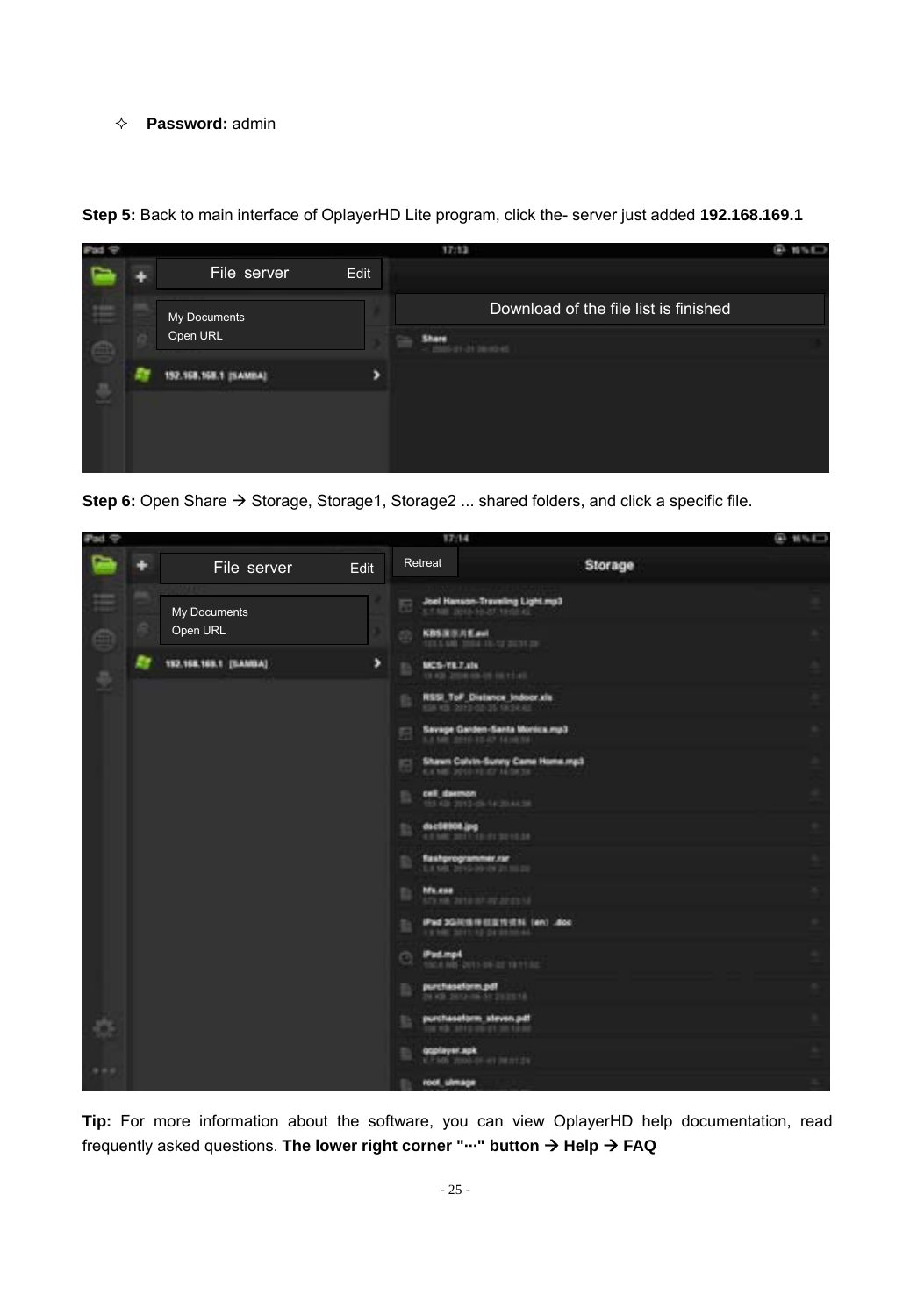#### **Password:** admin



**Step 5:** Back to main interface of OplayerHD Lite program, click the- server just added **192.168.169.1**

Step 6: Open Share  $\rightarrow$  Storage, Storage1, Storage2 ... shared folders, and click a specific file.



**Tip:** For more information about the software, you can view OplayerHD help documentation, read frequently asked questions. **The lower right corner "**··· " **button → Help → FAQ**